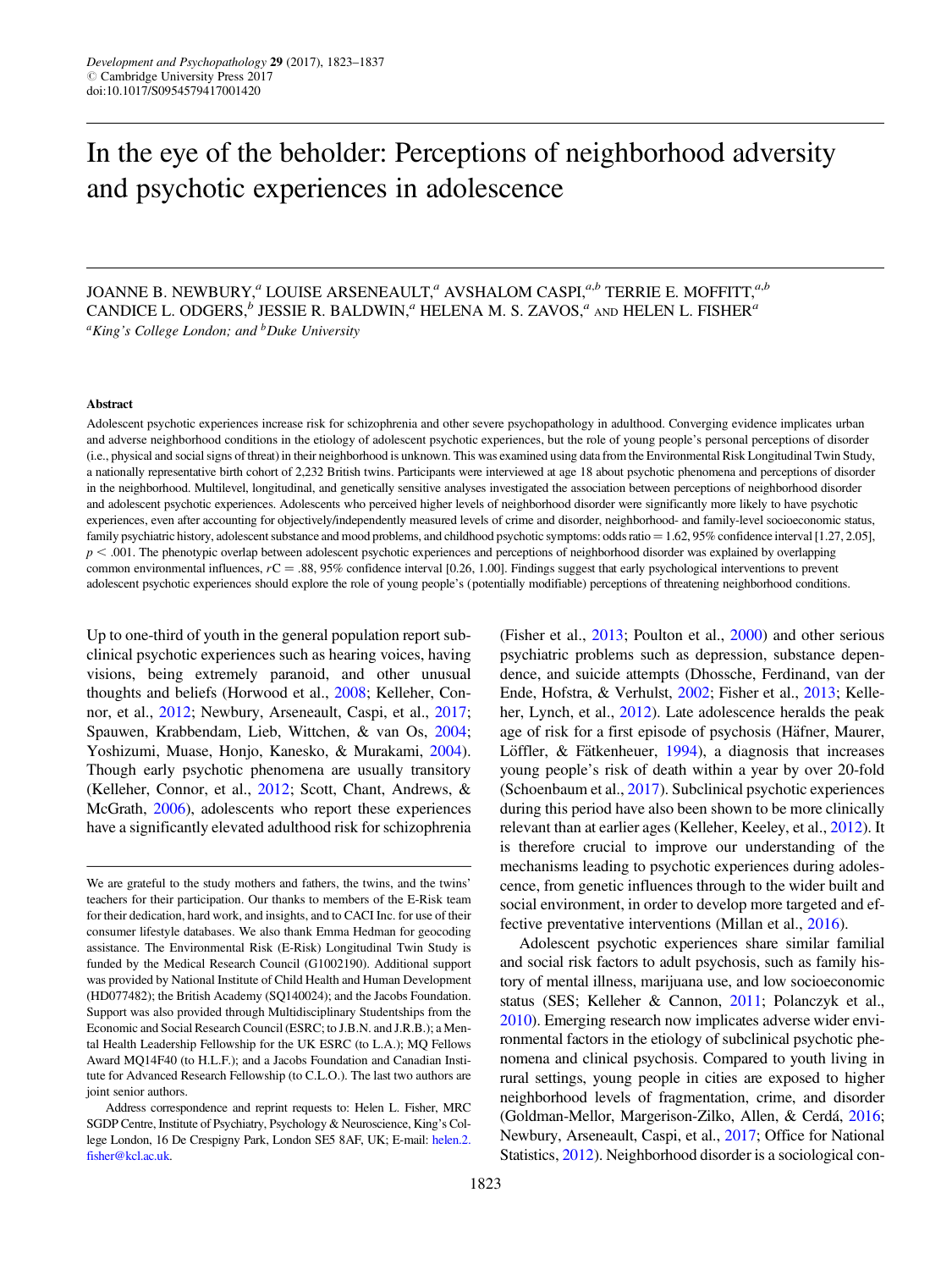# In the eye of the beholder: Perceptions of neighborhood adversity and psychotic experiences in adolescence

JOANNE B. NEWBURY,<sup>a</sup> LOUISE ARSENEAULT,<sup>a</sup> AVSHALOM CASPI, $a,b$  TERRIE E. MOFFITT, $a,b$ CANDICE L. ODGERS, $b$  JESSIE R. BALDWIN, $a$  HELENA M. S. ZAVOS, $a$  and HELEN L. FISHER $a$ <sup>a</sup>King's College London; and <sup>b</sup>Duke University

#### Abstract

Adolescent psychotic experiences increase risk for schizophrenia and other severe psychopathology in adulthood. Converging evidence implicates urban and adverse neighborhood conditions in the etiology of adolescent psychotic experiences, but the role of young people's personal perceptions of disorder (i.e., physical and social signs of threat) in their neighborhood is unknown. This was examined using data from the Environmental Risk Longitudinal Twin Study, a nationally representative birth cohort of 2,232 British twins. Participants were interviewed at age 18 about psychotic phenomena and perceptions of disorder in the neighborhood. Multilevel, longitudinal, and genetically sensitive analyses investigated the association between perceptions of neighborhood disorder and adolescent psychotic experiences. Adolescents who perceived higher levels of neighborhood disorder were significantly more likely to have psychotic experiences, even after accounting for objectively/independently measured levels of crime and disorder, neighborhood- and family-level socioeconomic status, family psychiatric history, adolescent substance and mood problems, and childhood psychotic symptoms: odds ratio = 1.62, 95% confidence interval [1.27, 2.05],  $p < .001$ . The phenotypic overlap between adolescent psychotic experiences and perceptions of neighborhood disorder was explained by overlapping common environmental influences,  $r = .88,95\%$  confidence interval [0.26, 1.00]. Findings suggest that early psychological interventions to prevent adolescent psychotic experiences should explore the role of young people's (potentially modifiable) perceptions of threatening neighborhood conditions.

Up to one-third of youth in the general population report subclinical psychotic experiences such as hearing voices, having visions, being extremely paranoid, and other unusual thoughts and beliefs (Horwood et al., [2008;](#page-13-0) Kelleher, Connor, et al., [2012](#page-13-0); Newbury, Arseneault, Caspi, et al., [2017](#page-13-0); Spauwen, Krabbendam, Lieb, Wittchen, & van Os, [2004](#page-14-0); Yoshizumi, Muase, Honjo, Kanesko, & Murakami, [2004](#page-14-0)). Though early psychotic phenomena are usually transitory (Kelleher, Connor, et al., [2012;](#page-13-0) Scott, Chant, Andrews, & McGrath, [2006\)](#page-14-0), adolescents who report these experiences have a significantly elevated adulthood risk for schizophrenia

(Fisher et al., [2013](#page-13-0); Poulton et al., [2000\)](#page-14-0) and other serious psychiatric problems such as depression, substance dependence, and suicide attempts (Dhossche, Ferdinand, van der Ende, Hofstra, & Verhulst, [2002;](#page-13-0) Fisher et al., [2013;](#page-13-0) Kelleher, Lynch, et al., [2012\)](#page-13-0). Late adolescence heralds the peak age of risk for a first episode of psychosis (Häfner, Maurer, Löffler,  $\&$  Fätkenheuer, [1994](#page-13-0)), a diagnosis that increases young people's risk of death within a year by over 20-fold (Schoenbaum et al., [2017\)](#page-14-0). Subclinical psychotic experiences during this period have also been shown to be more clinically relevant than at earlier ages (Kelleher, Keeley, et al., [2012](#page-13-0)). It is therefore crucial to improve our understanding of the mechanisms leading to psychotic experiences during adolescence, from genetic influences through to the wider built and social environment, in order to develop more targeted and effective preventative interventions (Millan et al., [2016\)](#page-13-0).

Adolescent psychotic experiences share similar familial and social risk factors to adult psychosis, such as family history of mental illness, marijuana use, and low socioeconomic status (SES; Kelleher & Cannon, [2011](#page-13-0); Polanczyk et al., [2010\)](#page-14-0). Emerging research now implicates adverse wider environmental factors in the etiology of subclinical psychotic phenomena and clinical psychosis. Compared to youth living in rural settings, young people in cities are exposed to higher neighborhood levels of fragmentation, crime, and disorder (Goldman-Mellor, Margerison-Zilko, Allen, & Cerdá, [2016](#page-13-0); Newbury, Arseneault, Caspi, et al., [2017;](#page-13-0) Office for National Statistics, [2012\)](#page-14-0). Neighborhood disorder is a sociological con-

We are grateful to the study mothers and fathers, the twins, and the twins' teachers for their participation. Our thanks to members of the E-Risk team for their dedication, hard work, and insights, and to CACI Inc. for use of their consumer lifestyle databases. We also thank Emma Hedman for geocoding assistance. The Environmental Risk (E-Risk) Longitudinal Twin Study is funded by the Medical Research Council (G1002190). Additional support was provided by National Institute of Child Health and Human Development (HD077482); the British Academy (SQ140024); and the Jacobs Foundation. Support was also provided through Multidisciplinary Studentships from the Economic and Social Research Council (ESRC; to J.B.N. and J.R.B.); a Mental Health Leadership Fellowship for the UK ESRC (to L.A.); MQ Fellows Award MQ14F40 (to H.L.F.); and a Jacobs Foundation and Canadian Institute for Advanced Research Fellowship (to C.L.O.). The last two authors are joint senior authors.

Address correspondence and reprint requests to: Helen L. Fisher, MRC SGDP Centre, Institute of Psychiatry, Psychology & Neuroscience, King's College London, 16 De Crespigny Park, London SE5 8AF, UK; E-mail: [helen.2.](mailto:helen.2.fisher@kcl.ac.uk) [fisher@kcl.ac.uk.](mailto:helen.2.fisher@kcl.ac.uk)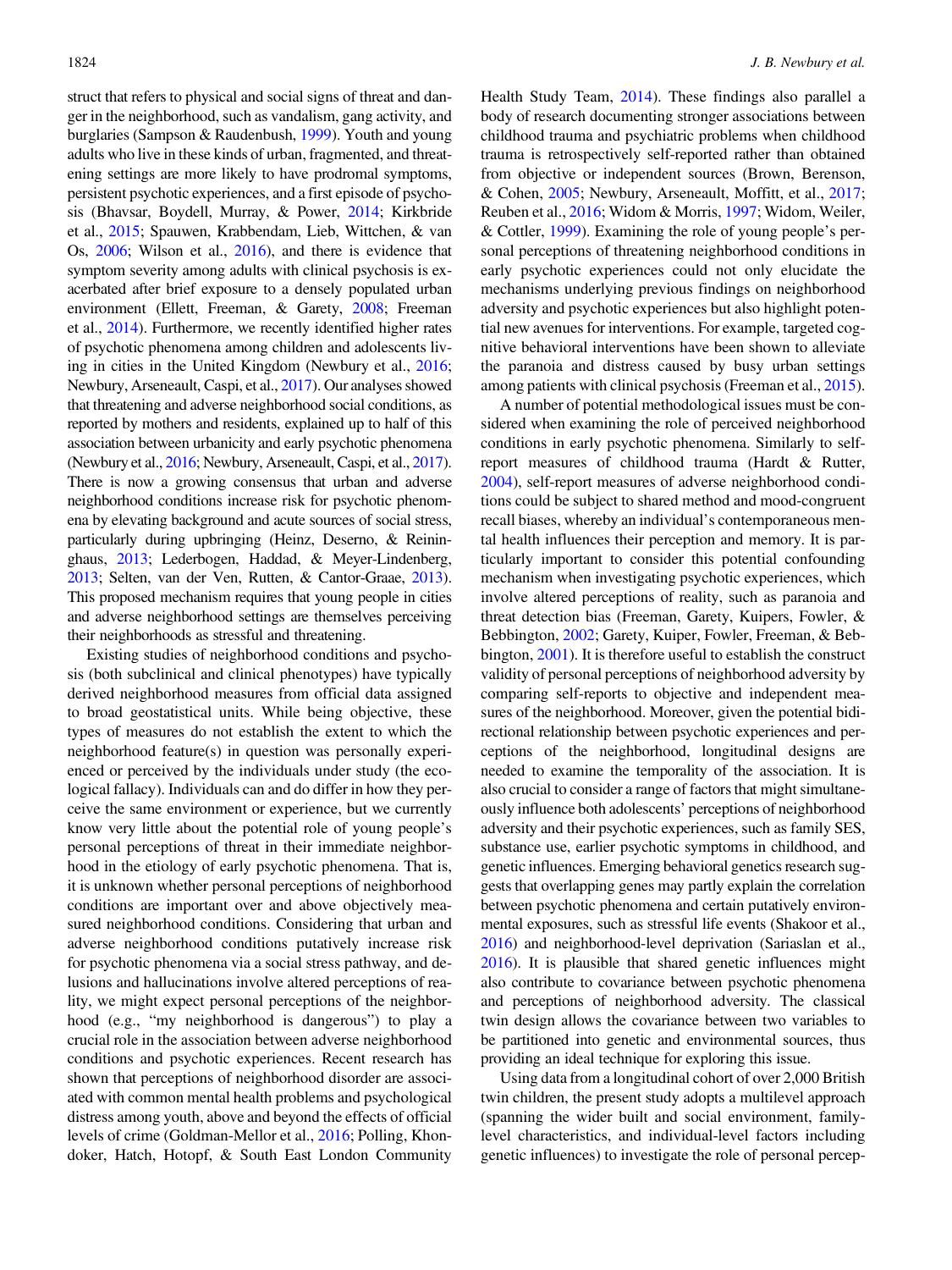struct that refers to physical and social signs of threat and danger in the neighborhood, such as vandalism, gang activity, and burglaries (Sampson & Raudenbush, [1999\)](#page-14-0). Youth and young adults who live in these kinds of urban, fragmented, and threatening settings are more likely to have prodromal symptoms, persistent psychotic experiences, and a first episode of psychosis (Bhavsar, Boydell, Murray, & Power, [2014;](#page-13-0) Kirkbride et al., [2015](#page-13-0); Spauwen, Krabbendam, Lieb, Wittchen, & van Os, [2006](#page-14-0); Wilson et al., [2016\)](#page-14-0), and there is evidence that symptom severity among adults with clinical psychosis is exacerbated after brief exposure to a densely populated urban environment (Ellett, Freeman, & Garety, [2008;](#page-13-0) Freeman et al., [2014](#page-13-0)). Furthermore, we recently identified higher rates of psychotic phenomena among children and adolescents living in cities in the United Kingdom (Newbury et al., [2016](#page-13-0); Newbury, Arseneault, Caspi, et al., [2017\)](#page-13-0). Our analyses showed that threatening and adverse neighborhood social conditions, as reported by mothers and residents, explained up to half of this association between urbanicity and early psychotic phenomena (Newbury et al., [2016](#page-13-0); Newbury, Arseneault, Caspi, et al., [2017](#page-13-0)). There is now a growing consensus that urban and adverse neighborhood conditions increase risk for psychotic phenomena by elevating background and acute sources of social stress, particularly during upbringing (Heinz, Deserno, & Reininghaus, [2013](#page-13-0); Lederbogen, Haddad, & Meyer-Lindenberg, [2013](#page-13-0); Selten, van der Ven, Rutten, & Cantor-Graae, [2013](#page-14-0)). This proposed mechanism requires that young people in cities and adverse neighborhood settings are themselves perceiving their neighborhoods as stressful and threatening.

Existing studies of neighborhood conditions and psychosis (both subclinical and clinical phenotypes) have typically derived neighborhood measures from official data assigned to broad geostatistical units. While being objective, these types of measures do not establish the extent to which the neighborhood feature(s) in question was personally experienced or perceived by the individuals under study (the ecological fallacy). Individuals can and do differ in how they perceive the same environment or experience, but we currently know very little about the potential role of young people's personal perceptions of threat in their immediate neighborhood in the etiology of early psychotic phenomena. That is, it is unknown whether personal perceptions of neighborhood conditions are important over and above objectively measured neighborhood conditions. Considering that urban and adverse neighborhood conditions putatively increase risk for psychotic phenomena via a social stress pathway, and delusions and hallucinations involve altered perceptions of reality, we might expect personal perceptions of the neighborhood (e.g., "my neighborhood is dangerous") to play a crucial role in the association between adverse neighborhood conditions and psychotic experiences. Recent research has shown that perceptions of neighborhood disorder are associated with common mental health problems and psychological distress among youth, above and beyond the effects of official levels of crime (Goldman-Mellor et al., [2016](#page-13-0); Polling, Khondoker, Hatch, Hotopf, & South East London Community

Health Study Team, [2014](#page-14-0)). These findings also parallel a body of research documenting stronger associations between childhood trauma and psychiatric problems when childhood trauma is retrospectively self-reported rather than obtained from objective or independent sources (Brown, Berenson, & Cohen, [2005](#page-13-0); Newbury, Arseneault, Moffitt, et al., [2017](#page-13-0); Reuben et al., [2016](#page-14-0); Widom & Morris, [1997](#page-14-0); Widom, Weiler, & Cottler, [1999\)](#page-14-0). Examining the role of young people's personal perceptions of threatening neighborhood conditions in early psychotic experiences could not only elucidate the mechanisms underlying previous findings on neighborhood adversity and psychotic experiences but also highlight potential new avenues for interventions. For example, targeted cognitive behavioral interventions have been shown to alleviate the paranoia and distress caused by busy urban settings among patients with clinical psychosis (Freeman et al., [2015](#page-13-0)).

A number of potential methodological issues must be considered when examining the role of perceived neighborhood conditions in early psychotic phenomena. Similarly to selfreport measures of childhood trauma (Hardt & Rutter, [2004](#page-13-0)), self-report measures of adverse neighborhood conditions could be subject to shared method and mood-congruent recall biases, whereby an individual's contemporaneous mental health influences their perception and memory. It is particularly important to consider this potential confounding mechanism when investigating psychotic experiences, which involve altered perceptions of reality, such as paranoia and threat detection bias (Freeman, Garety, Kuipers, Fowler, & Bebbington, [2002](#page-13-0); Garety, Kuiper, Fowler, Freeman, & Bebbington, [2001](#page-13-0)). It is therefore useful to establish the construct validity of personal perceptions of neighborhood adversity by comparing self-reports to objective and independent measures of the neighborhood. Moreover, given the potential bidirectional relationship between psychotic experiences and perceptions of the neighborhood, longitudinal designs are needed to examine the temporality of the association. It is also crucial to consider a range of factors that might simultaneously influence both adolescents' perceptions of neighborhood adversity and their psychotic experiences, such as family SES, substance use, earlier psychotic symptoms in childhood, and genetic influences. Emerging behavioral genetics research suggests that overlapping genes may partly explain the correlation between psychotic phenomena and certain putatively environmental exposures, such as stressful life events (Shakoor et al., [2016\)](#page-14-0) and neighborhood-level deprivation (Sariaslan et al., [2016\)](#page-14-0). It is plausible that shared genetic influences might also contribute to covariance between psychotic phenomena and perceptions of neighborhood adversity. The classical twin design allows the covariance between two variables to be partitioned into genetic and environmental sources, thus providing an ideal technique for exploring this issue.

Using data from a longitudinal cohort of over 2,000 British twin children, the present study adopts a multilevel approach (spanning the wider built and social environment, familylevel characteristics, and individual-level factors including genetic influences) to investigate the role of personal percep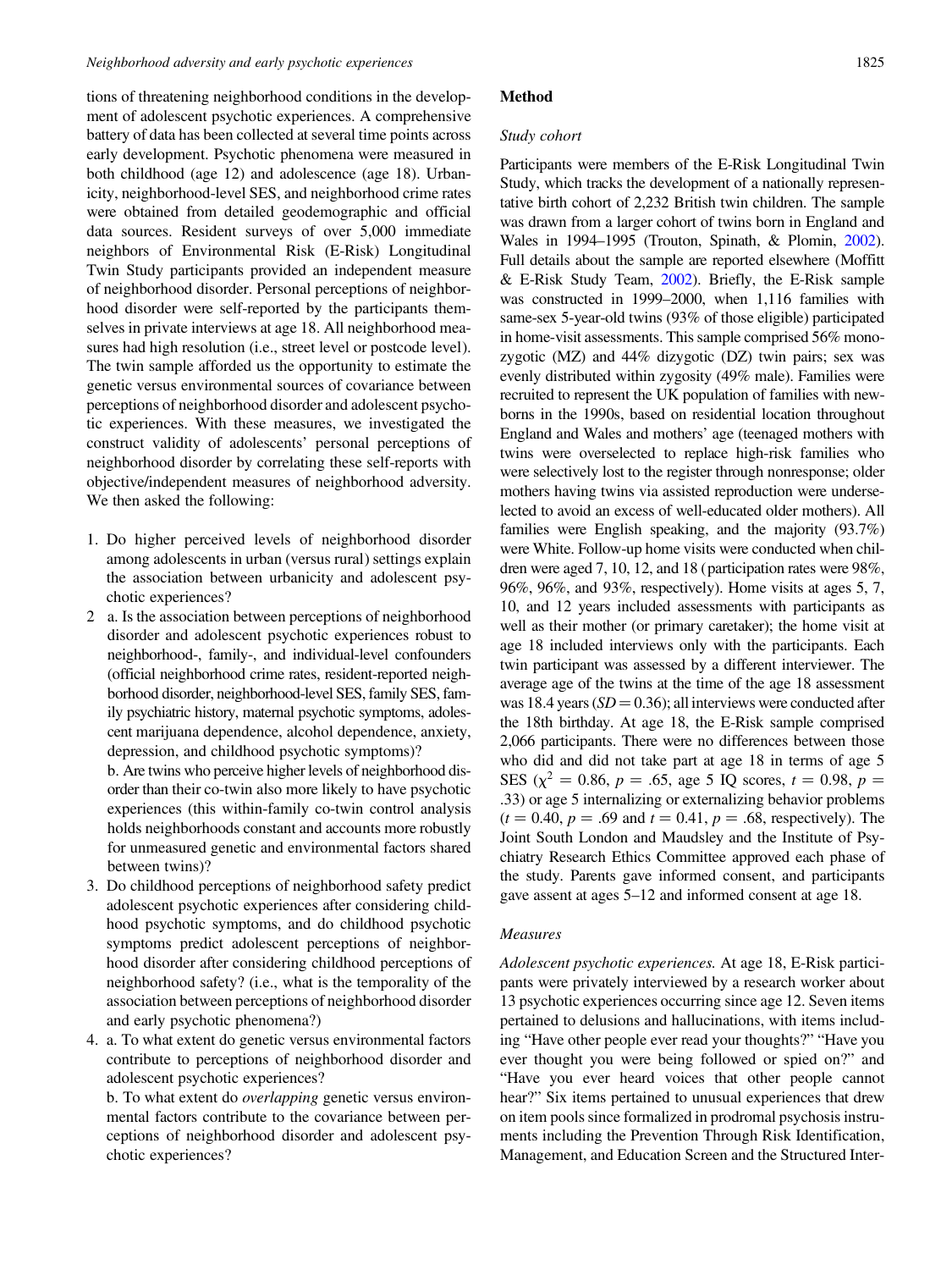tions of threatening neighborhood conditions in the development of adolescent psychotic experiences. A comprehensive battery of data has been collected at several time points across early development. Psychotic phenomena were measured in both childhood (age 12) and adolescence (age 18). Urbanicity, neighborhood-level SES, and neighborhood crime rates were obtained from detailed geodemographic and official data sources. Resident surveys of over 5,000 immediate neighbors of Environmental Risk (E-Risk) Longitudinal Twin Study participants provided an independent measure of neighborhood disorder. Personal perceptions of neighborhood disorder were self-reported by the participants themselves in private interviews at age 18. All neighborhood measures had high resolution (i.e., street level or postcode level). The twin sample afforded us the opportunity to estimate the genetic versus environmental sources of covariance between perceptions of neighborhood disorder and adolescent psychotic experiences. With these measures, we investigated the construct validity of adolescents' personal perceptions of neighborhood disorder by correlating these self-reports with objective/independent measures of neighborhood adversity. We then asked the following:

- 1. Do higher perceived levels of neighborhood disorder among adolescents in urban (versus rural) settings explain the association between urbanicity and adolescent psychotic experiences?
- 2 a. Is the association between perceptions of neighborhood disorder and adolescent psychotic experiences robust to neighborhood-, family-, and individual-level confounders (official neighborhood crime rates, resident-reported neighborhood disorder, neighborhood-level SES, family SES, family psychiatric history, maternal psychotic symptoms, adolescent marijuana dependence, alcohol dependence, anxiety, depression, and childhood psychotic symptoms)?

b. Are twins who perceive higher levels of neighborhood disorder than their co-twin also more likely to have psychotic experiences (this within-family co-twin control analysis holds neighborhoods constant and accounts more robustly for unmeasured genetic and environmental factors shared between twins)?

- 3. Do childhood perceptions of neighborhood safety predict adolescent psychotic experiences after considering childhood psychotic symptoms, and do childhood psychotic symptoms predict adolescent perceptions of neighborhood disorder after considering childhood perceptions of neighborhood safety? (i.e., what is the temporality of the association between perceptions of neighborhood disorder and early psychotic phenomena?)
- 4. a. To what extent do genetic versus environmental factors contribute to perceptions of neighborhood disorder and adolescent psychotic experiences?

b. To what extent do overlapping genetic versus environmental factors contribute to the covariance between perceptions of neighborhood disorder and adolescent psychotic experiences?

## Method

#### Study cohort

Participants were members of the E-Risk Longitudinal Twin Study, which tracks the development of a nationally representative birth cohort of 2,232 British twin children. The sample was drawn from a larger cohort of twins born in England and Wales in 1994–1995 (Trouton, Spinath, & Plomin, [2002](#page-14-0)). Full details about the sample are reported elsewhere (Moffitt & E-Risk Study Team, [2002\)](#page-13-0). Briefly, the E-Risk sample was constructed in 1999–2000, when 1,116 families with same-sex 5-year-old twins (93% of those eligible) participated in home-visit assessments. This sample comprised 56% monozygotic (MZ) and 44% dizygotic (DZ) twin pairs; sex was evenly distributed within zygosity (49% male). Families were recruited to represent the UK population of families with newborns in the 1990s, based on residential location throughout England and Wales and mothers' age (teenaged mothers with twins were overselected to replace high-risk families who were selectively lost to the register through nonresponse; older mothers having twins via assisted reproduction were underselected to avoid an excess of well-educated older mothers). All families were English speaking, and the majority (93.7%) were White. Follow-up home visits were conducted when children were aged 7, 10, 12, and 18 (participation rates were 98%, 96%, 96%, and 93%, respectively). Home visits at ages 5, 7, 10, and 12 years included assessments with participants as well as their mother (or primary caretaker); the home visit at age 18 included interviews only with the participants. Each twin participant was assessed by a different interviewer. The average age of the twins at the time of the age 18 assessment was 18.4 years ( $SD = 0.36$ ); all interviews were conducted after the 18th birthday. At age 18, the E-Risk sample comprised 2,066 participants. There were no differences between those who did and did not take part at age 18 in terms of age 5 SES ( $\chi^2 = 0.86$ ,  $p = .65$ , age 5 IQ scores,  $t = 0.98$ ,  $p =$ .33) or age 5 internalizing or externalizing behavior problems  $(t = 0.40, p = .69 \text{ and } t = 0.41, p = .68,$  respectively). The Joint South London and Maudsley and the Institute of Psychiatry Research Ethics Committee approved each phase of the study. Parents gave informed consent, and participants gave assent at ages 5–12 and informed consent at age 18.

#### Measures

Adolescent psychotic experiences. At age 18, E-Risk participants were privately interviewed by a research worker about 13 psychotic experiences occurring since age 12. Seven items pertained to delusions and hallucinations, with items including "Have other people ever read your thoughts?" "Have you ever thought you were being followed or spied on?" and "Have you ever heard voices that other people cannot hear?" Six items pertained to unusual experiences that drew on item pools since formalized in prodromal psychosis instruments including the Prevention Through Risk Identification, Management, and Education Screen and the Structured Inter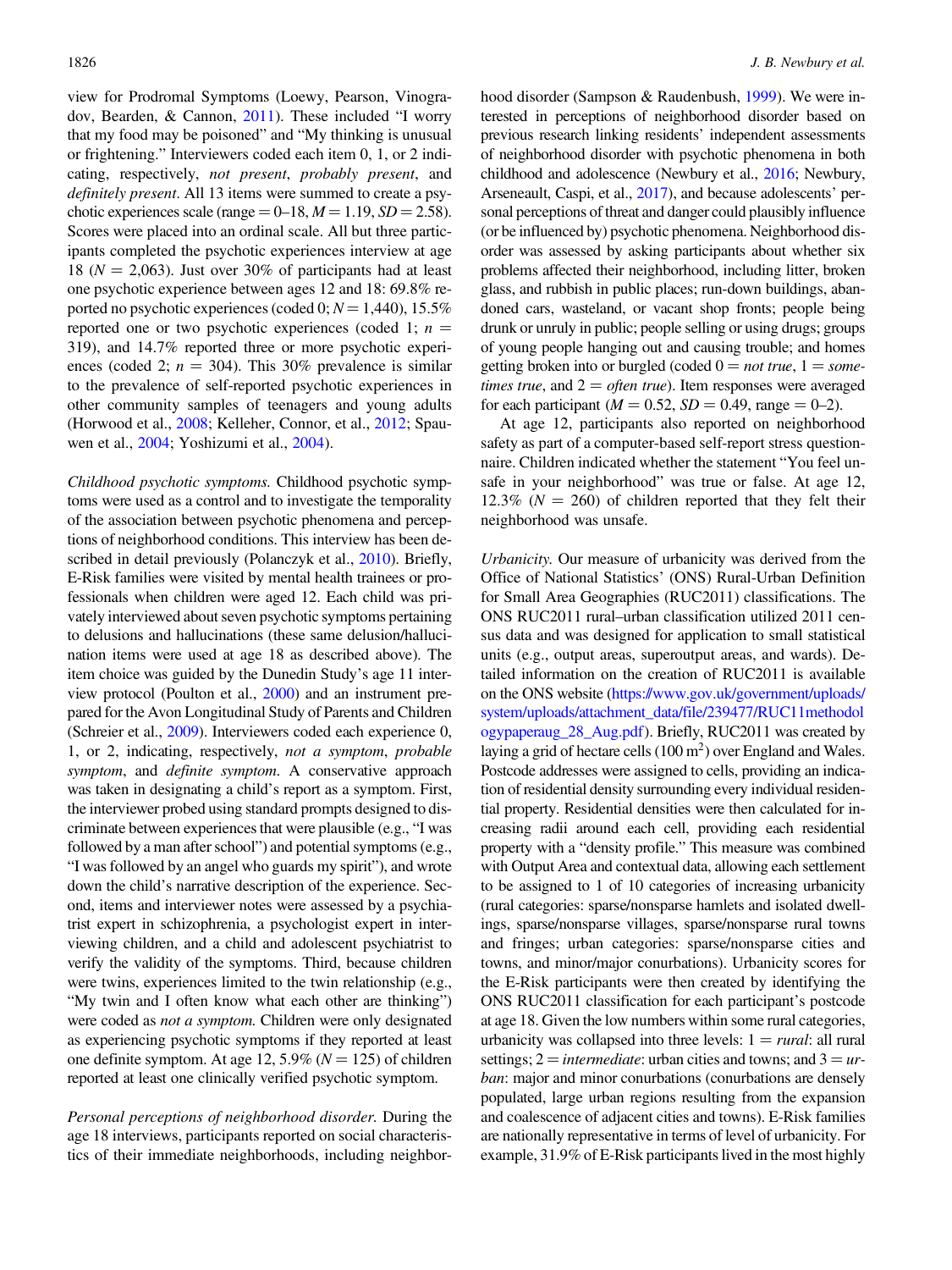view for Prodromal Symptoms (Loewy, Pearson, Vinogradov, Bearden, & Cannon, [2011\)](#page-13-0). These included "I worry that my food may be poisoned" and "My thinking is unusual or frightening." Interviewers coded each item 0, 1, or 2 indicating, respectively, not present, probably present, and definitely present. All 13 items were summed to create a psychotic experiences scale (range =  $0-18$ ,  $M = 1.19$ ,  $SD = 2.58$ ). Scores were placed into an ordinal scale. All but three participants completed the psychotic experiences interview at age 18 ( $N = 2,063$ ). Just over 30% of participants had at least one psychotic experience between ages 12 and 18: 69.8% reported no psychotic experiences (coded 0;  $N = 1,440$ ), 15.5% reported one or two psychotic experiences (coded 1;  $n =$ 319), and 14.7% reported three or more psychotic experiences (coded 2;  $n = 304$ ). This 30% prevalence is similar to the prevalence of self-reported psychotic experiences in other community samples of teenagers and young adults (Horwood et al., [2008;](#page-13-0) Kelleher, Connor, et al., [2012;](#page-13-0) Spauwen et al., [2004;](#page-14-0) Yoshizumi et al., [2004](#page-14-0)).

Childhood psychotic symptoms. Childhood psychotic symptoms were used as a control and to investigate the temporality of the association between psychotic phenomena and perceptions of neighborhood conditions. This interview has been described in detail previously (Polanczyk et al., [2010\)](#page-14-0). Briefly, E-Risk families were visited by mental health trainees or professionals when children were aged 12. Each child was privately interviewed about seven psychotic symptoms pertaining to delusions and hallucinations (these same delusion/hallucination items were used at age 18 as described above). The item choice was guided by the Dunedin Study's age 11 interview protocol (Poulton et al., [2000\)](#page-14-0) and an instrument prepared for the Avon Longitudinal Study of Parents and Children (Schreier et al., [2009\)](#page-14-0). Interviewers coded each experience 0, 1, or 2, indicating, respectively, not a symptom, probable symptom, and definite symptom. A conservative approach was taken in designating a child's report as a symptom. First, the interviewer probed using standard prompts designed to discriminate between experiences that were plausible (e.g., "I was followed by a man after school") and potential symptoms (e.g., "I was followed by an angel who guards my spirit"), and wrote down the child's narrative description of the experience. Second, items and interviewer notes were assessed by a psychiatrist expert in schizophrenia, a psychologist expert in interviewing children, and a child and adolescent psychiatrist to verify the validity of the symptoms. Third, because children were twins, experiences limited to the twin relationship (e.g., "My twin and I often know what each other are thinking") were coded as not a symptom. Children were only designated as experiencing psychotic symptoms if they reported at least one definite symptom. At age 12, 5.9% ( $N = 125$ ) of children reported at least one clinically verified psychotic symptom.

Personal perceptions of neighborhood disorder. During the age 18 interviews, participants reported on social characteristics of their immediate neighborhoods, including neighborhood disorder (Sampson & Raudenbush, [1999\)](#page-14-0). We were interested in perceptions of neighborhood disorder based on previous research linking residents' independent assessments of neighborhood disorder with psychotic phenomena in both childhood and adolescence (Newbury et al., [2016;](#page-13-0) Newbury, Arseneault, Caspi, et al., [2017\)](#page-13-0), and because adolescents' personal perceptions of threat and danger could plausibly influence (or be influenced by) psychotic phenomena. Neighborhood disorder was assessed by asking participants about whether six problems affected their neighborhood, including litter, broken glass, and rubbish in public places; run-down buildings, abandoned cars, wasteland, or vacant shop fronts; people being drunk or unruly in public; people selling or using drugs; groups of young people hanging out and causing trouble; and homes getting broken into or burgled (coded  $0 = not true$ ,  $1 = some$ times true, and  $2 =$  often true). Item responses were averaged for each participant ( $M = 0.52$ ,  $SD = 0.49$ , range  $= 0-2$ ).

At age 12, participants also reported on neighborhood safety as part of a computer-based self-report stress questionnaire. Children indicated whether the statement "You feel unsafe in your neighborhood" was true or false. At age 12, 12.3% ( $N = 260$ ) of children reported that they felt their neighborhood was unsafe.

Urbanicity. Our measure of urbanicity was derived from the Office of National Statistics' (ONS) Rural-Urban Definition for Small Area Geographies (RUC2011) classifications. The ONS RUC2011 rural–urban classification utilized 2011 census data and was designed for application to small statistical units (e.g., output areas, superoutput areas, and wards). Detailed information on the creation of RUC2011 is available on the ONS website ([https://www.gov.uk/government/uploads/](https://www.gov.uk/government/uploads/system/uploads/attachment_data/file/239477/RUC11methodologypaperaug_28_Aug.pdf) [system/uploads/attachment\\_data/file/239477/RUC11methodol](https://www.gov.uk/government/uploads/system/uploads/attachment_data/file/239477/RUC11methodologypaperaug_28_Aug.pdf) [ogypaperaug\\_28\\_Aug.pdf](https://www.gov.uk/government/uploads/system/uploads/attachment_data/file/239477/RUC11methodologypaperaug_28_Aug.pdf)). Briefly, RUC2011 was created by laying a grid of hectare cells  $(100 \text{ m}^2)$  over England and Wales. Postcode addresses were assigned to cells, providing an indication of residential density surrounding every individual residential property. Residential densities were then calculated for increasing radii around each cell, providing each residential property with a "density profile." This measure was combined with Output Area and contextual data, allowing each settlement to be assigned to 1 of 10 categories of increasing urbanicity (rural categories: sparse/nonsparse hamlets and isolated dwellings, sparse/nonsparse villages, sparse/nonsparse rural towns and fringes; urban categories: sparse/nonsparse cities and towns, and minor/major conurbations). Urbanicity scores for the E-Risk participants were then created by identifying the ONS RUC2011 classification for each participant's postcode at age 18. Given the low numbers within some rural categories, urbanicity was collapsed into three levels:  $1 = rural$ : all rural settings;  $2 = intermediate$ : urban cities and towns; and  $3 = ur$ ban: major and minor conurbations (conurbations are densely populated, large urban regions resulting from the expansion and coalescence of adjacent cities and towns). E-Risk families are nationally representative in terms of level of urbanicity. For example, 31.9% of E-Risk participants lived in the most highly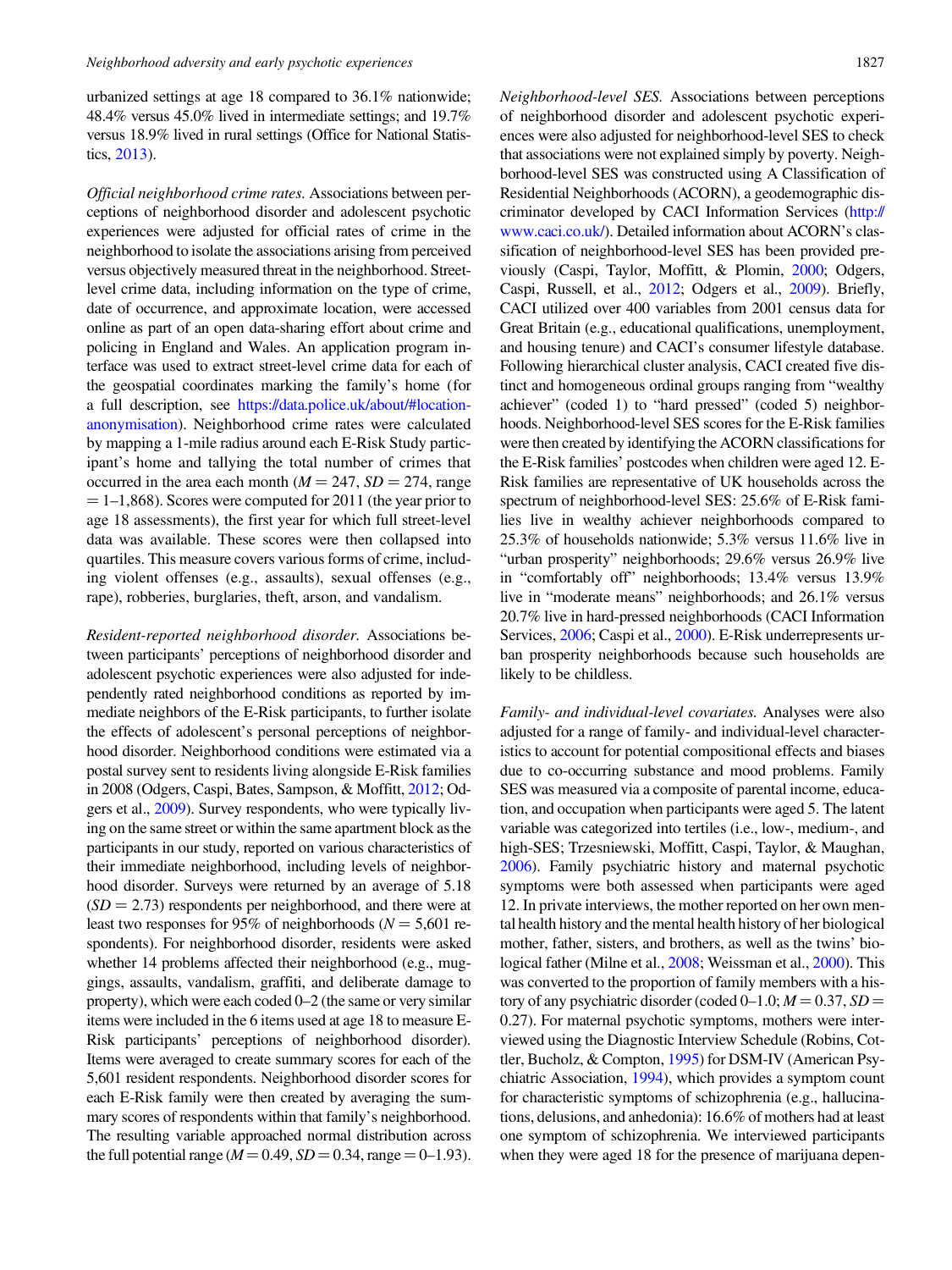urbanized settings at age 18 compared to 36.1% nationwide; 48.4% versus 45.0% lived in intermediate settings; and 19.7% versus 18.9% lived in rural settings (Office for National Statistics, [2013](#page-14-0)).

Official neighborhood crime rates. Associations between perceptions of neighborhood disorder and adolescent psychotic experiences were adjusted for official rates of crime in the neighborhood to isolate the associations arising from perceived versus objectively measured threat in the neighborhood. Streetlevel crime data, including information on the type of crime, date of occurrence, and approximate location, were accessed online as part of an open data-sharing effort about crime and policing in England and Wales. An application program interface was used to extract street-level crime data for each of the geospatial coordinates marking the family's home (for a full description, see [https://data.police.uk/about/#location](https://data.police.uk/about/%23location-anonymisation)[anonymisation](https://data.police.uk/about/%23location-anonymisation)). Neighborhood crime rates were calculated by mapping a 1-mile radius around each E-Risk Study participant's home and tallying the total number of crimes that occurred in the area each month ( $M = 247$ ,  $SD = 274$ , range  $= 1-1,868$ ). Scores were computed for 2011 (the year prior to age 18 assessments), the first year for which full street-level data was available. These scores were then collapsed into quartiles. This measure covers various forms of crime, including violent offenses (e.g., assaults), sexual offenses (e.g., rape), robberies, burglaries, theft, arson, and vandalism.

Resident-reported neighborhood disorder. Associations between participants' perceptions of neighborhood disorder and adolescent psychotic experiences were also adjusted for independently rated neighborhood conditions as reported by immediate neighbors of the E-Risk participants, to further isolate the effects of adolescent's personal perceptions of neighborhood disorder. Neighborhood conditions were estimated via a postal survey sent to residents living alongside E-Risk families in 2008 (Odgers, Caspi, Bates, Sampson, & Moffitt, [2012](#page-14-0); Odgers et al., [2009\)](#page-14-0). Survey respondents, who were typically living on the same street or within the same apartment block as the participants in our study, reported on various characteristics of their immediate neighborhood, including levels of neighborhood disorder. Surveys were returned by an average of 5.18  $(SD = 2.73)$  respondents per neighborhood, and there were at least two responses for 95% of neighborhoods ( $N = 5,601$  respondents). For neighborhood disorder, residents were asked whether 14 problems affected their neighborhood (e.g., muggings, assaults, vandalism, graffiti, and deliberate damage to property), which were each coded 0–2 (the same or very similar items were included in the 6 items used at age 18 to measure E-Risk participants' perceptions of neighborhood disorder). Items were averaged to create summary scores for each of the 5,601 resident respondents. Neighborhood disorder scores for each E-Risk family were then created by averaging the summary scores of respondents within that family's neighborhood. The resulting variable approached normal distribution across the full potential range ( $M = 0.49$ ,  $SD = 0.34$ , range  $= 0-1.93$ ).

Neighborhood-level SES. Associations between perceptions of neighborhood disorder and adolescent psychotic experiences were also adjusted for neighborhood-level SES to check that associations were not explained simply by poverty. Neighborhood-level SES was constructed using A Classification of Residential Neighborhoods (ACORN), a geodemographic discriminator developed by CACI Information Services [\(http://](http://www.caci.co.uk/) [www.caci.co.uk/](http://www.caci.co.uk/)). Detailed information about ACORN's classification of neighborhood-level SES has been provided previously (Caspi, Taylor, Moffitt, & Plomin, [2000;](#page-13-0) Odgers, Caspi, Russell, et al., [2012](#page-14-0); Odgers et al., [2009](#page-14-0)). Briefly, CACI utilized over 400 variables from 2001 census data for Great Britain (e.g., educational qualifications, unemployment, and housing tenure) and CACI's consumer lifestyle database. Following hierarchical cluster analysis, CACI created five distinct and homogeneous ordinal groups ranging from "wealthy achiever" (coded 1) to "hard pressed" (coded 5) neighborhoods. Neighborhood-level SES scores for the E-Risk families were then created by identifying the ACORN classifications for the E-Risk families' postcodes when children were aged 12. E-Risk families are representative of UK households across the spectrum of neighborhood-level SES: 25.6% of E-Risk families live in wealthy achiever neighborhoods compared to 25.3% of households nationwide; 5.3% versus 11.6% live in "urban prosperity" neighborhoods; 29.6% versus 26.9% live in "comfortably off" neighborhoods; 13.4% versus 13.9% live in "moderate means" neighborhoods; and 26.1% versus 20.7% live in hard-pressed neighborhoods (CACI Information Services, [2006;](#page-13-0) Caspi et al., [2000\)](#page-13-0). E-Risk underrepresents urban prosperity neighborhoods because such households are likely to be childless.

Family- and individual-level covariates. Analyses were also adjusted for a range of family- and individual-level characteristics to account for potential compositional effects and biases due to co-occurring substance and mood problems. Family SES was measured via a composite of parental income, education, and occupation when participants were aged 5. The latent variable was categorized into tertiles (i.e., low-, medium-, and high-SES; Trzesniewski, Moffitt, Caspi, Taylor, & Maughan, [2006\)](#page-14-0). Family psychiatric history and maternal psychotic symptoms were both assessed when participants were aged 12. In private interviews, the mother reported on her own mental health history and the mental health history of her biological mother, father, sisters, and brothers, as well as the twins' biological father (Milne et al., [2008;](#page-13-0) Weissman et al., [2000\)](#page-14-0). This was converted to the proportion of family members with a history of any psychiatric disorder (coded  $0-1.0$ ;  $M = 0.37$ ,  $SD =$ 0.27). For maternal psychotic symptoms, mothers were interviewed using the Diagnostic Interview Schedule (Robins, Cottler, Bucholz, & Compton, [1995](#page-14-0)) for DSM-IV (American Psychiatric Association, [1994\)](#page-13-0), which provides a symptom count for characteristic symptoms of schizophrenia (e.g., hallucinations, delusions, and anhedonia): 16.6% of mothers had at least one symptom of schizophrenia. We interviewed participants when they were aged 18 for the presence of marijuana depen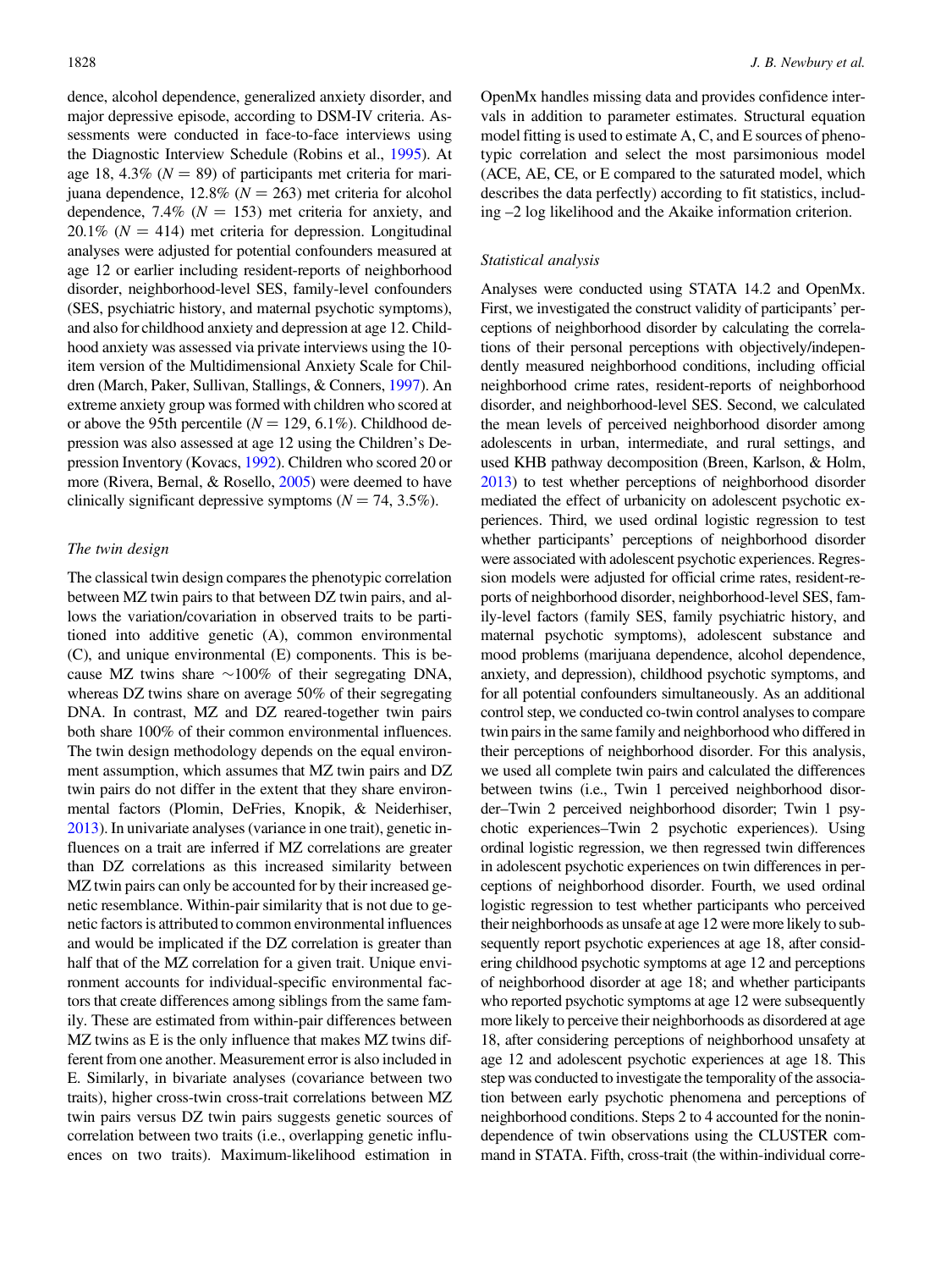dence, alcohol dependence, generalized anxiety disorder, and major depressive episode, according to DSM-IV criteria. Assessments were conducted in face-to-face interviews using the Diagnostic Interview Schedule (Robins et al., [1995\)](#page-14-0). At age 18, 4.3% ( $N = 89$ ) of participants met criteria for marijuana dependence, 12.8% ( $N = 263$ ) met criteria for alcohol dependence, 7.4% ( $N = 153$ ) met criteria for anxiety, and  $20.1\%$  ( $N = 414$ ) met criteria for depression. Longitudinal analyses were adjusted for potential confounders measured at age 12 or earlier including resident-reports of neighborhood disorder, neighborhood-level SES, family-level confounders (SES, psychiatric history, and maternal psychotic symptoms), and also for childhood anxiety and depression at age 12. Childhood anxiety was assessed via private interviews using the 10 item version of the Multidimensional Anxiety Scale for Children (March, Paker, Sullivan, Stallings, & Conners, [1997](#page-13-0)). An extreme anxiety group was formed with children who scored at or above the 95th percentile ( $N = 129, 6.1\%$ ). Childhood depression was also assessed at age 12 using the Children's Depression Inventory (Kovacs, [1992](#page-13-0)). Children who scored 20 or more (Rivera, Bernal, & Rosello, [2005\)](#page-14-0) were deemed to have clinically significant depressive symptoms ( $N = 74, 3.5\%$ ).

## The twin design

The classical twin design compares the phenotypic correlation between MZ twin pairs to that between DZ twin pairs, and allows the variation/covariation in observed traits to be partitioned into additive genetic (A), common environmental (C), and unique environmental (E) components. This is because MZ twins share  $\sim$ 100% of their segregating DNA, whereas DZ twins share on average 50% of their segregating DNA. In contrast, MZ and DZ reared-together twin pairs both share 100% of their common environmental influences. The twin design methodology depends on the equal environment assumption, which assumes that MZ twin pairs and DZ twin pairs do not differ in the extent that they share environmental factors (Plomin, DeFries, Knopik, & Neiderhiser, [2013\)](#page-14-0). In univariate analyses (variance in one trait), genetic influences on a trait are inferred if MZ correlations are greater than DZ correlations as this increased similarity between MZ twin pairs can only be accounted for by their increased genetic resemblance. Within-pair similarity that is not due to genetic factors is attributed to common environmental influences and would be implicated if the DZ correlation is greater than half that of the MZ correlation for a given trait. Unique environment accounts for individual-specific environmental factors that create differences among siblings from the same family. These are estimated from within-pair differences between MZ twins as E is the only influence that makes MZ twins different from one another. Measurement error is also included in E. Similarly, in bivariate analyses (covariance between two traits), higher cross-twin cross-trait correlations between MZ twin pairs versus DZ twin pairs suggests genetic sources of correlation between two traits (i.e., overlapping genetic influences on two traits). Maximum-likelihood estimation in

OpenMx handles missing data and provides confidence intervals in addition to parameter estimates. Structural equation model fitting is used to estimate A, C, and E sources of phenotypic correlation and select the most parsimonious model (ACE, AE, CE, or E compared to the saturated model, which describes the data perfectly) according to fit statistics, including –2 log likelihood and the Akaike information criterion.

## Statistical analysis

Analyses were conducted using STATA 14.2 and OpenMx. First, we investigated the construct validity of participants' perceptions of neighborhood disorder by calculating the correlations of their personal perceptions with objectively/independently measured neighborhood conditions, including official neighborhood crime rates, resident-reports of neighborhood disorder, and neighborhood-level SES. Second, we calculated the mean levels of perceived neighborhood disorder among adolescents in urban, intermediate, and rural settings, and used KHB pathway decomposition (Breen, Karlson, & Holm, [2013](#page-13-0)) to test whether perceptions of neighborhood disorder mediated the effect of urbanicity on adolescent psychotic experiences. Third, we used ordinal logistic regression to test whether participants' perceptions of neighborhood disorder were associated with adolescent psychotic experiences. Regression models were adjusted for official crime rates, resident-reports of neighborhood disorder, neighborhood-level SES, family-level factors (family SES, family psychiatric history, and maternal psychotic symptoms), adolescent substance and mood problems (marijuana dependence, alcohol dependence, anxiety, and depression), childhood psychotic symptoms, and for all potential confounders simultaneously. As an additional control step, we conducted co-twin control analyses to compare twin pairs in the same family and neighborhood who differed in their perceptions of neighborhood disorder. For this analysis, we used all complete twin pairs and calculated the differences between twins (i.e., Twin 1 perceived neighborhood disorder–Twin 2 perceived neighborhood disorder; Twin 1 psychotic experiences–Twin 2 psychotic experiences). Using ordinal logistic regression, we then regressed twin differences in adolescent psychotic experiences on twin differences in perceptions of neighborhood disorder. Fourth, we used ordinal logistic regression to test whether participants who perceived their neighborhoods as unsafe at age 12 were more likely to subsequently report psychotic experiences at age 18, after considering childhood psychotic symptoms at age 12 and perceptions of neighborhood disorder at age 18; and whether participants who reported psychotic symptoms at age 12 were subsequently more likely to perceive their neighborhoods as disordered at age 18, after considering perceptions of neighborhood unsafety at age 12 and adolescent psychotic experiences at age 18. This step was conducted to investigate the temporality of the association between early psychotic phenomena and perceptions of neighborhood conditions. Steps 2 to 4 accounted for the nonindependence of twin observations using the CLUSTER command in STATA. Fifth, cross-trait (the within-individual corre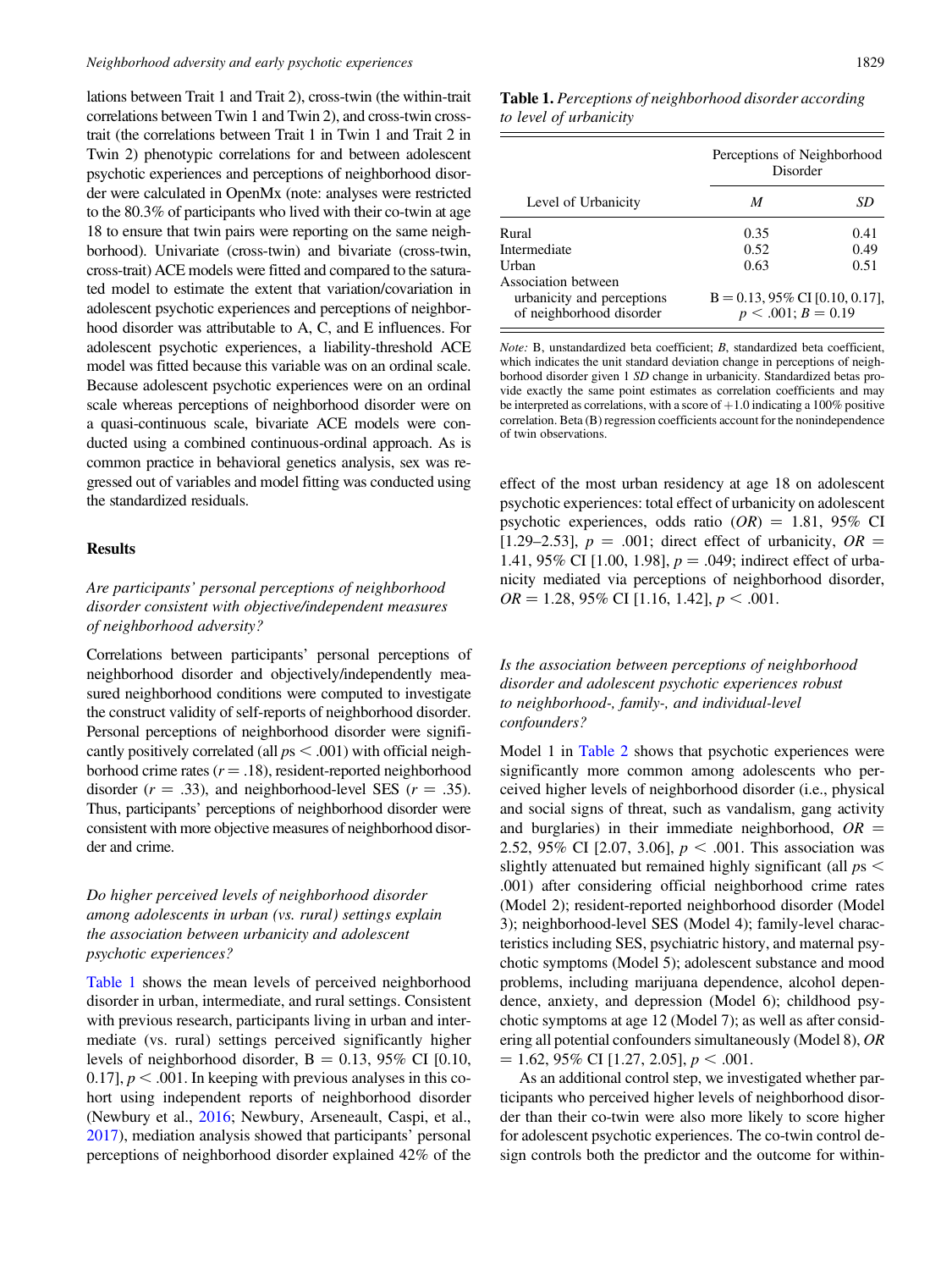lations between Trait 1 and Trait 2), cross-twin (the within-trait correlations between Twin 1 and Twin 2), and cross-twin crosstrait (the correlations between Trait 1 in Twin 1 and Trait 2 in Twin 2) phenotypic correlations for and between adolescent psychotic experiences and perceptions of neighborhood disorder were calculated in OpenMx (note: analyses were restricted to the 80.3% of participants who lived with their co-twin at age 18 to ensure that twin pairs were reporting on the same neighborhood). Univariate (cross-twin) and bivariate (cross-twin, cross-trait) ACE models were fitted and compared to the saturated model to estimate the extent that variation/covariation in adolescent psychotic experiences and perceptions of neighborhood disorder was attributable to A, C, and E influences. For adolescent psychotic experiences, a liability-threshold ACE model was fitted because this variable was on an ordinal scale. Because adolescent psychotic experiences were on an ordinal scale whereas perceptions of neighborhood disorder were on a quasi-continuous scale, bivariate ACE models were conducted using a combined continuous-ordinal approach. As is common practice in behavioral genetics analysis, sex was regressed out of variables and model fitting was conducted using the standardized residuals.

## Results

# Are participants' personal perceptions of neighborhood disorder consistent with objective/independent measures of neighborhood adversity?

Correlations between participants' personal perceptions of neighborhood disorder and objectively/independently measured neighborhood conditions were computed to investigate the construct validity of self-reports of neighborhood disorder. Personal perceptions of neighborhood disorder were significantly positively correlated (all  $ps < .001$ ) with official neighborhood crime rates  $(r = .18)$ , resident-reported neighborhood disorder ( $r = .33$ ), and neighborhood-level SES ( $r = .35$ ). Thus, participants' perceptions of neighborhood disorder were consistent with more objective measures of neighborhood disorder and crime.

# Do higher perceived levels of neighborhood disorder among adolescents in urban (vs. rural) settings explain the association between urbanicity and adolescent psychotic experiences?

Table 1 shows the mean levels of perceived neighborhood disorder in urban, intermediate, and rural settings. Consistent with previous research, participants living in urban and intermediate (vs. rural) settings perceived significantly higher levels of neighborhood disorder,  $B = 0.13$ , 95% CI [0.10, 0.17],  $p < .001$ . In keeping with previous analyses in this cohort using independent reports of neighborhood disorder (Newbury et al., [2016](#page-13-0); Newbury, Arseneault, Caspi, et al., [2017](#page-13-0)), mediation analysis showed that participants' personal perceptions of neighborhood disorder explained 42% of the

| <b>Table 1.</b> Perceptions of neighborhood disorder according |  |  |
|----------------------------------------------------------------|--|--|
| to level of urbanicity                                         |  |  |

|                                                        | Perceptions of Neighborhood<br>Disorder                     |      |
|--------------------------------------------------------|-------------------------------------------------------------|------|
| Level of Urbanicity                                    | M                                                           | SD   |
| Rural                                                  | 0.35                                                        | 0.41 |
| Intermediate                                           | 0.52                                                        | 0.49 |
| Urban                                                  | 0.63                                                        | 0.51 |
| Association between                                    |                                                             |      |
| urbanicity and perceptions<br>of neighborhood disorder | $B = 0.13,95\%$ CI [0.10, 0.17],<br>$p < .001$ ; $B = 0.19$ |      |

Note: B, unstandardized beta coefficient; B, standardized beta coefficient, which indicates the unit standard deviation change in perceptions of neighborhood disorder given 1 SD change in urbanicity. Standardized betas provide exactly the same point estimates as correlation coefficients and may be interpreted as correlations, with a score of  $+1.0$  indicating a 100% positive correlation. Beta (B) regression coefficients account for the nonindependence of twin observations.

effect of the most urban residency at age 18 on adolescent psychotic experiences: total effect of urbanicity on adolescent psychotic experiences, odds ratio  $(OR) = 1.81, 95\%$  CI [1.29–2.53],  $p = .001$ ; direct effect of urbanicity,  $OR =$ 1.41, 95% CI [1.00, 1.98],  $p = .049$ ; indirect effect of urbanicity mediated via perceptions of neighborhood disorder,  $OR = 1.28, 95\% \text{ CI}$  [1.16, 1.42],  $p < .001$ .

## Is the association between perceptions of neighborhood disorder and adolescent psychotic experiences robust to neighborhood-, family-, and individual-level confounders?

Model 1 in [Table 2](#page-7-0) shows that psychotic experiences were significantly more common among adolescents who perceived higher levels of neighborhood disorder (i.e., physical and social signs of threat, such as vandalism, gang activity and burglaries) in their immediate neighborhood,  $OR =$ 2.52, 95% CI [2.07, 3.06],  $p < .001$ . This association was slightly attenuated but remained highly significant (all  $ps <$ .001) after considering official neighborhood crime rates (Model 2); resident-reported neighborhood disorder (Model 3); neighborhood-level SES (Model 4); family-level characteristics including SES, psychiatric history, and maternal psychotic symptoms (Model 5); adolescent substance and mood problems, including marijuana dependence, alcohol dependence, anxiety, and depression (Model 6); childhood psychotic symptoms at age 12 (Model 7); as well as after considering all potential confounders simultaneously (Model 8), OR  $= 1.62, 95\% \text{ CI}$  [1.27, 2.05],  $p < .001$ .

As an additional control step, we investigated whether participants who perceived higher levels of neighborhood disorder than their co-twin were also more likely to score higher for adolescent psychotic experiences. The co-twin control design controls both the predictor and the outcome for within-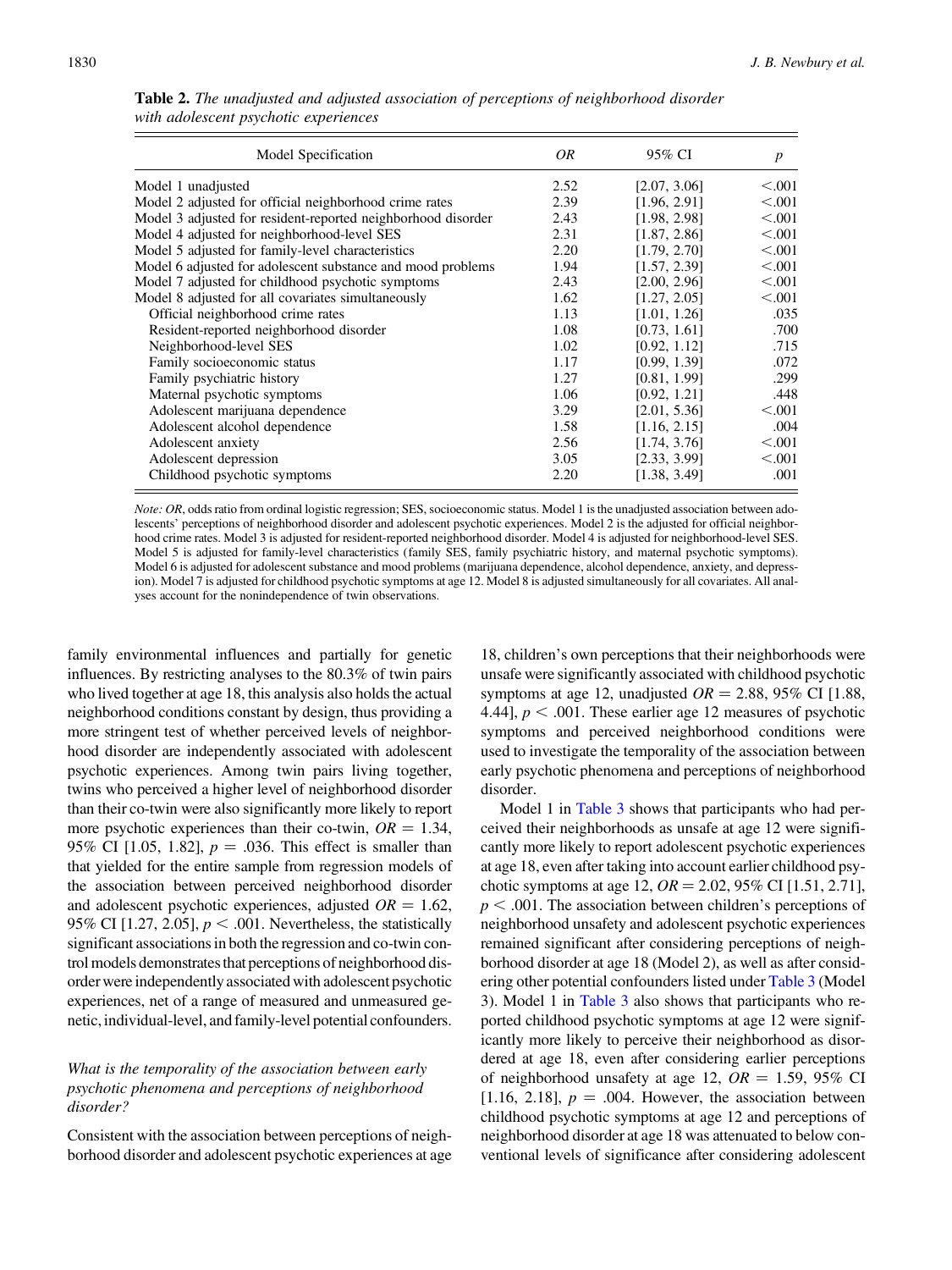| Model Specification                                          | OR.  | 95% CI       | $\boldsymbol{p}$ |
|--------------------------------------------------------------|------|--------------|------------------|
| Model 1 unadjusted                                           | 2.52 | [2.07, 3.06] | < 0.001          |
| Model 2 adjusted for official neighborhood crime rates       | 2.39 | [1.96, 2.91] | < 0.001          |
| Model 3 adjusted for resident-reported neighborhood disorder | 2.43 | [1.98, 2.98] | < 0.001          |
| Model 4 adjusted for neighborhood-level SES                  | 2.31 | [1.87, 2.86] | < 0.001          |
| Model 5 adjusted for family-level characteristics            | 2.20 | [1.79, 2.70] | < 0.001          |
| Model 6 adjusted for adolescent substance and mood problems  | 1.94 | [1.57, 2.39] | < 0.001          |
| Model 7 adjusted for childhood psychotic symptoms            | 2.43 | [2.00, 2.96] | < 0.001          |
| Model 8 adjusted for all covariates simultaneously           | 1.62 | [1.27, 2.05] | < 0.001          |
| Official neighborhood crime rates                            | 1.13 | [1.01, 1.26] | .035             |
| Resident-reported neighborhood disorder                      | 1.08 | [0.73, 1.61] | .700             |
| Neighborhood-level SES                                       | 1.02 | [0.92, 1.12] | .715             |
| Family socioeconomic status                                  | 1.17 | [0.99, 1.39] | .072             |
| Family psychiatric history                                   | 1.27 | [0.81, 1.99] | .299             |
| Maternal psychotic symptoms                                  | 1.06 | [0.92, 1.21] | .448             |
| Adolescent marijuana dependence                              | 3.29 | [2.01, 5.36] | < 0.001          |
| Adolescent alcohol dependence                                | 1.58 | [1.16, 2.15] | .004             |
| Adolescent anxiety                                           | 2.56 | [1.74, 3.76] | < 0.001          |
| Adolescent depression                                        | 3.05 | [2.33, 3.99] | < 0.001          |
| Childhood psychotic symptoms                                 | 2.20 | [1.38, 3.49] | .001             |

<span id="page-7-0"></span>Table 2. The unadjusted and adjusted association of perceptions of neighborhood disorder with adolescent psychotic experiences

Note: OR, odds ratio from ordinal logistic regression; SES, socioeconomic status. Model 1 is the unadjusted association between adolescents' perceptions of neighborhood disorder and adolescent psychotic experiences. Model 2 is the adjusted for official neighborhood crime rates. Model 3 is adjusted for resident-reported neighborhood disorder. Model 4 is adjusted for neighborhood-level SES. Model 5 is adjusted for family-level characteristics (family SES, family psychiatric history, and maternal psychotic symptoms). Model 6 is adjusted for adolescent substance and mood problems (marijuana dependence, alcohol dependence, anxiety, and depression). Model 7 is adjusted for childhood psychotic symptoms at age 12. Model 8 is adjusted simultaneously for all covariates. All analyses account for the nonindependence of twin observations.

family environmental influences and partially for genetic influences. By restricting analyses to the 80.3% of twin pairs who lived together at age 18, this analysis also holds the actual neighborhood conditions constant by design, thus providing a more stringent test of whether perceived levels of neighborhood disorder are independently associated with adolescent psychotic experiences. Among twin pairs living together, twins who perceived a higher level of neighborhood disorder than their co-twin were also significantly more likely to report more psychotic experiences than their co-twin,  $OR = 1.34$ , 95% CI [1.05, 1.82],  $p = .036$ . This effect is smaller than that yielded for the entire sample from regression models of the association between perceived neighborhood disorder and adolescent psychotic experiences, adjusted  $OR = 1.62$ , 95% CI [1.27, 2.05],  $p < .001$ . Nevertheless, the statistically significant associations in both the regression and co-twin control models demonstrates that perceptions of neighborhood disorder were independently associated with adolescent psychotic experiences, net of a range of measured and unmeasured genetic, individual-level, and family-level potential confounders.

## What is the temporality of the association between early psychotic phenomena and perceptions of neighborhood disorder?

Consistent with the association between perceptions of neighborhood disorder and adolescent psychotic experiences at age

18, children's own perceptions that their neighborhoods were unsafe were significantly associated with childhood psychotic symptoms at age 12, unadjusted  $OR = 2.88$ , 95% CI [1.88, 4.44],  $p < .001$ . These earlier age 12 measures of psychotic symptoms and perceived neighborhood conditions were used to investigate the temporality of the association between early psychotic phenomena and perceptions of neighborhood disorder.

Model 1 in [Table 3](#page-8-0) shows that participants who had perceived their neighborhoods as unsafe at age 12 were significantly more likely to report adolescent psychotic experiences at age 18, even after taking into account earlier childhood psychotic symptoms at age 12,  $OR = 2.02$ , 95% CI [1.51, 2.71],  $p < .001$ . The association between children's perceptions of neighborhood unsafety and adolescent psychotic experiences remained significant after considering perceptions of neighborhood disorder at age 18 (Model 2), as well as after considering other potential confounders listed under [Table 3](#page-8-0) (Model 3). Model 1 in [Table 3](#page-8-0) also shows that participants who reported childhood psychotic symptoms at age 12 were significantly more likely to perceive their neighborhood as disordered at age 18, even after considering earlier perceptions of neighborhood unsafety at age 12,  $OR = 1.59$ , 95% CI [1.16, 2.18],  $p = .004$ . However, the association between childhood psychotic symptoms at age 12 and perceptions of neighborhood disorder at age 18 was attenuated to below conventional levels of significance after considering adolescent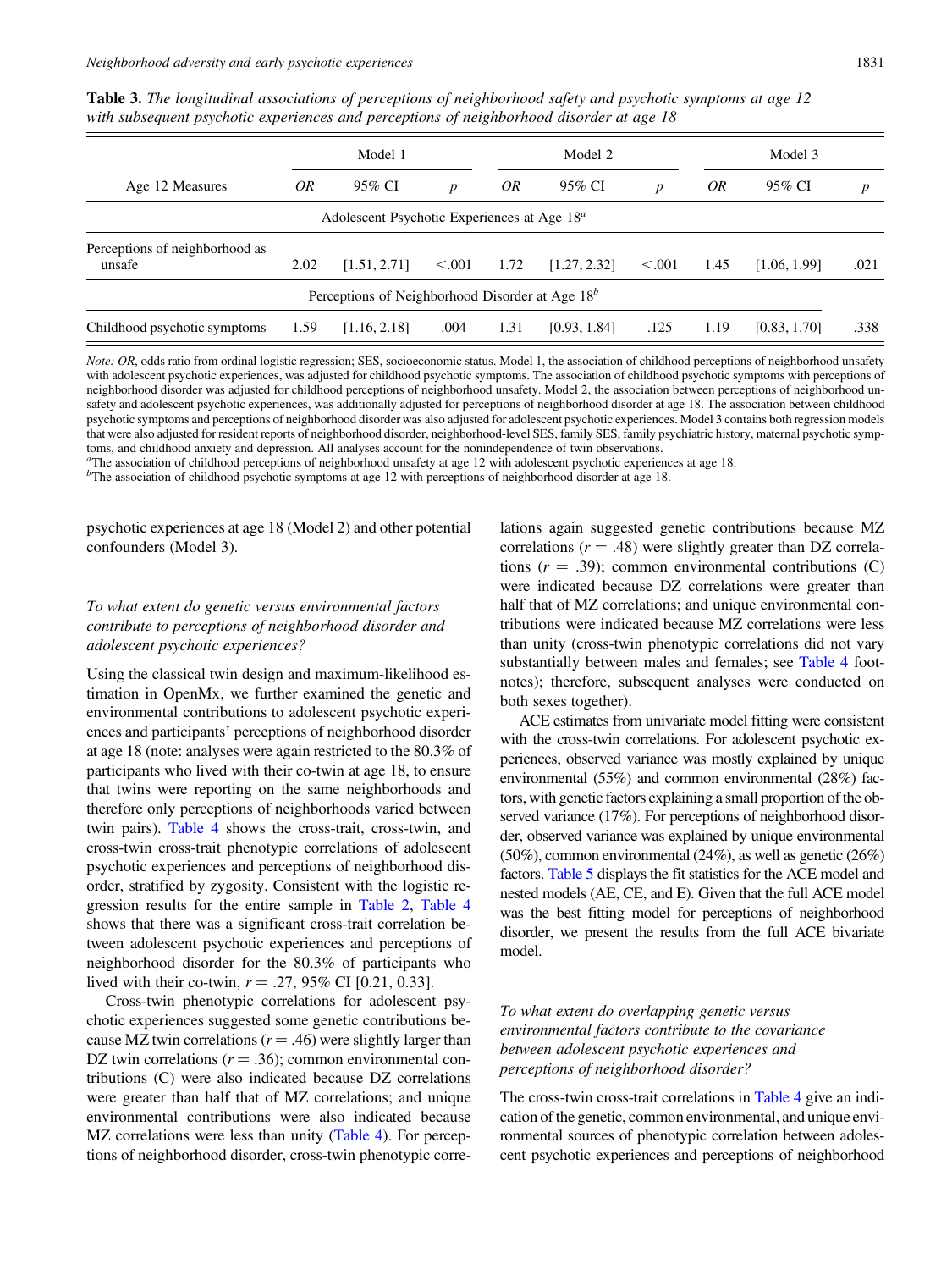| with subsequent psychotic experiences and perceptions of neighborhood disorder at age 18 |         |                                                         |         |         |              |         |         |              |      |
|------------------------------------------------------------------------------------------|---------|---------------------------------------------------------|---------|---------|--------------|---------|---------|--------------|------|
|                                                                                          | Model 1 |                                                         |         | Model 2 |              |         | Model 3 |              |      |
| Age 12 Measures                                                                          | OR      | 95% CI                                                  |         | OR      | 95% CI       | n       | 0R      | 95% CI       | p    |
|                                                                                          |         | Adolescent Psychotic Experiences at Age 18 <sup>a</sup> |         |         |              |         |         |              |      |
| Perceptions of neighborhood as<br>unsafe                                                 | 2.02    | [1.51, 2.71]                                            | < 0.001 | 1.72    | [1.27, 2.32] | < 0.001 | 1.45    | [1.06, 1.99] | .021 |

<span id="page-8-0"></span>Table 3. The longitudinal associations of perceptions of neighborhood safety and psychotic symptoms at age 12

Perceptions of Neighborhood Disorder at Age  $18<sup>b</sup>$ 

Note: OR, odds ratio from ordinal logistic regression; SES, socioeconomic status. Model 1, the association of childhood perceptions of neighborhood unsafety with adolescent psychotic experiences, was adjusted for childhood psychotic symptoms. The association of childhood psychotic symptoms with perceptions of neighborhood disorder was adjusted for childhood perceptions of neighborhood unsafety. Model 2, the association between perceptions of neighborhood unsafety and adolescent psychotic experiences, was additionally adjusted for perceptions of neighborhood disorder at age 18. The association between childhood psychotic symptoms and perceptions of neighborhood disorder was also adjusted for adolescent psychotic experiences. Model 3 contains both regression models that were also adjusted for resident reports of neighborhood disorder, neighborhood-level SES, family SES, family psychiatric history, maternal psychotic symp-

Childhood psychotic symptoms 1.59 [1.16, 2.18] .004 1.31 [0.93, 1.84] .125 1.19 [0.83, 1.70] .338

toms, and childhood anxiety and depression. All analyses account for the nonindependence of twin observations.

<sup>a</sup>The association of childhood perceptions of neighborhood unsafety at age 12 with adolescent psychotic experiences at age 18.

 $b$ The association of childhood psychotic symptoms at age 12 with perceptions of neighborhood disorder at age 18.

psychotic experiences at age 18 (Model 2) and other potential confounders (Model 3).

## To what extent do genetic versus environmental factors contribute to perceptions of neighborhood disorder and adolescent psychotic experiences?

Using the classical twin design and maximum-likelihood estimation in OpenMx, we further examined the genetic and environmental contributions to adolescent psychotic experiences and participants' perceptions of neighborhood disorder at age 18 (note: analyses were again restricted to the 80.3% of participants who lived with their co-twin at age 18, to ensure that twins were reporting on the same neighborhoods and therefore only perceptions of neighborhoods varied between twin pairs). [Table 4](#page-9-0) shows the cross-trait, cross-twin, and cross-twin cross-trait phenotypic correlations of adolescent psychotic experiences and perceptions of neighborhood disorder, stratified by zygosity. Consistent with the logistic regression results for the entire sample in [Table 2,](#page-7-0) [Table 4](#page-9-0) shows that there was a significant cross-trait correlation between adolescent psychotic experiences and perceptions of neighborhood disorder for the 80.3% of participants who lived with their co-twin,  $r = .27,95\%$  CI [0.21, 0.33].

Cross-twin phenotypic correlations for adolescent psychotic experiences suggested some genetic contributions because MZ twin correlations ( $r = .46$ ) were slightly larger than DZ twin correlations ( $r = .36$ ); common environmental contributions (C) were also indicated because DZ correlations were greater than half that of MZ correlations; and unique environmental contributions were also indicated because MZ correlations were less than unity [\(Table 4\)](#page-9-0). For perceptions of neighborhood disorder, cross-twin phenotypic correlations again suggested genetic contributions because MZ correlations ( $r = .48$ ) were slightly greater than DZ correlations  $(r = .39)$ ; common environmental contributions (C) were indicated because DZ correlations were greater than half that of MZ correlations; and unique environmental contributions were indicated because MZ correlations were less than unity (cross-twin phenotypic correlations did not vary substantially between males and females; see [Table 4](#page-9-0) footnotes); therefore, subsequent analyses were conducted on both sexes together).

ACE estimates from univariate model fitting were consistent with the cross-twin correlations. For adolescent psychotic experiences, observed variance was mostly explained by unique environmental (55%) and common environmental (28%) factors, with genetic factors explaining a small proportion of the observed variance (17%). For perceptions of neighborhood disorder, observed variance was explained by unique environmental (50%), common environmental (24%), as well as genetic (26%) factors. [Table 5](#page-9-0) displays the fit statistics for the ACE model and nested models (AE, CE, and E). Given that the full ACE model was the best fitting model for perceptions of neighborhood disorder, we present the results from the full ACE bivariate model.

# To what extent do overlapping genetic versus environmental factors contribute to the covariance between adolescent psychotic experiences and perceptions of neighborhood disorder?

The cross-twin cross-trait correlations in [Table 4](#page-9-0) give an indication of the genetic, common environmental, and unique environmental sources of phenotypic correlation between adolescent psychotic experiences and perceptions of neighborhood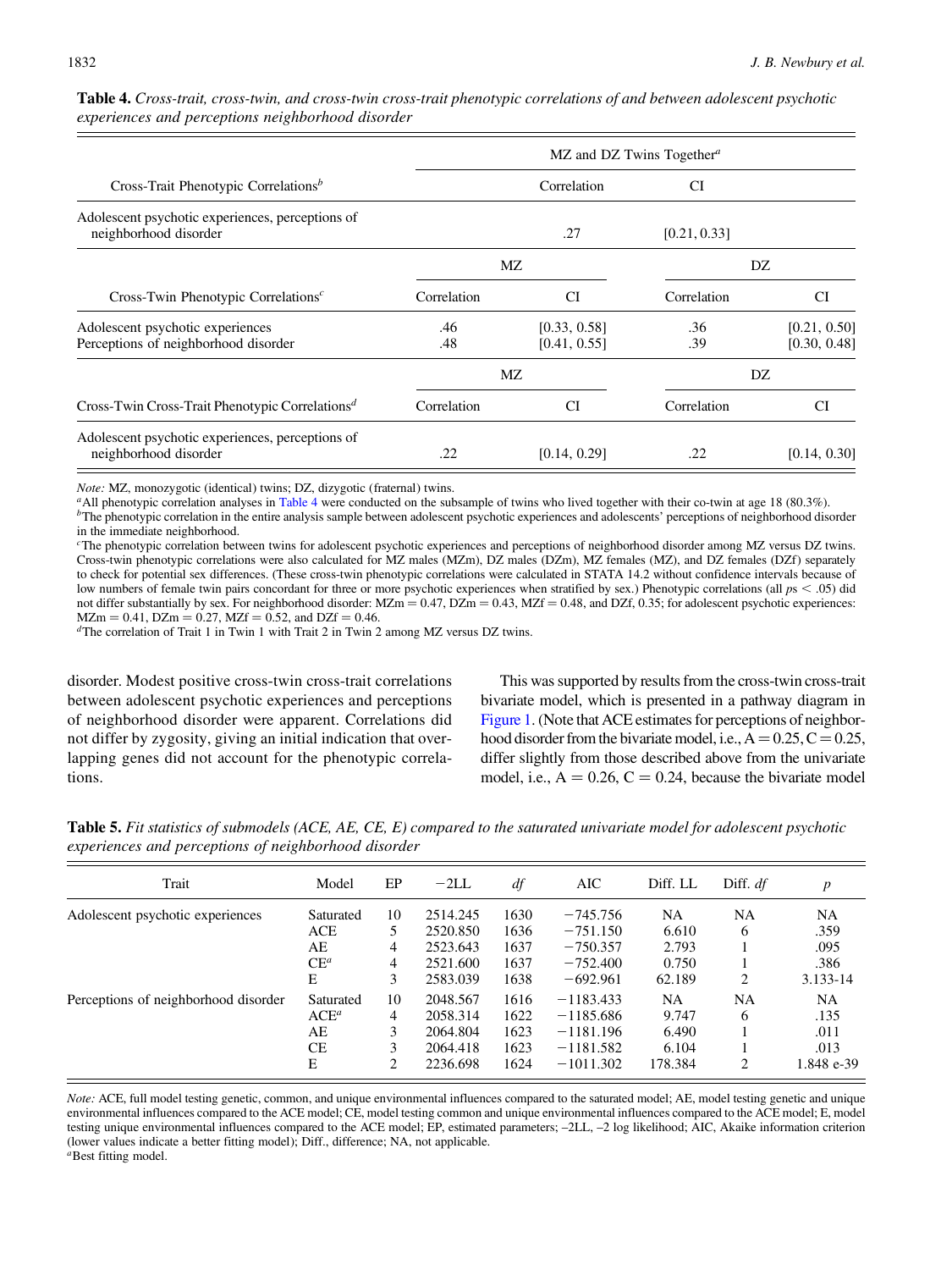|                                                                           |             | $MZ$ and DZ Twins Together <sup><i>a</i></sup> |              |                              |  |  |  |
|---------------------------------------------------------------------------|-------------|------------------------------------------------|--------------|------------------------------|--|--|--|
| Cross-Trait Phenotypic Correlations <sup>b</sup>                          |             | Correlation                                    | CI           |                              |  |  |  |
| Adolescent psychotic experiences, perceptions of<br>neighborhood disorder |             | .27                                            | [0.21, 0.33] |                              |  |  |  |
|                                                                           |             | МZ                                             |              | DZ                           |  |  |  |
| Cross-Twin Phenotypic Correlations <sup>c</sup>                           | Correlation | <b>CI</b>                                      | Correlation  | CI                           |  |  |  |
| Adolescent psychotic experiences<br>Perceptions of neighborhood disorder  | .46<br>.48  | [0.33, 0.58]<br>[0.41, 0.55]                   | .36<br>.39   | [0.21, 0.50]<br>[0.30, 0.48] |  |  |  |
|                                                                           |             | МZ                                             |              | DZ                           |  |  |  |
| Cross-Twin Cross-Trait Phenotypic Correlations <sup>d</sup>               | Correlation | CI                                             | Correlation  | <b>CI</b>                    |  |  |  |
| Adolescent psychotic experiences, perceptions of<br>neighborhood disorder | .22         | [0.14, 0.29]                                   | .22          | [0.14, 0.30]                 |  |  |  |

<span id="page-9-0"></span>Table 4. Cross-trait, cross-twin, and cross-twin cross-trait phenotypic correlations of and between adolescent psychotic experiences and perceptions neighborhood disorder

*Note:* MZ, monozygotic (identical) twins; DZ, dizygotic (fraternal) twins.<br>
<sup>*a*</sup>All phenotypic correlation analyses in Table 4 were conducted on the subsample of twins who lived together with their co-twin at age 18 (80

in the immediate neighborhood.

<sup>c</sup>The phenotypic correlation between twins for adolescent psychotic experiences and perceptions of neighborhood disorder among MZ versus DZ twins. Cross-twin phenotypic correlations were also calculated for MZ males (MZm), DZ males (DZm), MZ females (MZ), and DZ females (DZf) separately to check for potential sex differences. (These cross-twin phenotypic correlations were calculated in STATA 14.2 without confidence intervals because of low numbers of female twin pairs concordant for three or more psychotic experiences when stratified by sex.) Phenotypic correlations (all  $ps < .05$ ) did not differ substantially by sex. For neighborhood disorder:  $MZm = 0.47$ ,  $DZm = 0.43$ ,  $MZf = 0.48$ , and  $DZf$ ,  $0.35$ ; for adolescent psychotic experiences:  $MZm = 0.41$ ,  $DZm = 0.27$ ,  $MZf = 0.52$ , and  $DZf = 0.46$ .

 ${}^{d}$ The correlation of Trait 1 in Twin 1 with Trait 2 in Twin 2 among MZ versus DZ twins.

disorder. Modest positive cross-twin cross-trait correlations between adolescent psychotic experiences and perceptions of neighborhood disorder were apparent. Correlations did not differ by zygosity, giving an initial indication that overlapping genes did not account for the phenotypic correlations.

This was supported by results from the cross-twin cross-trait bivariate model, which is presented in a pathway diagram in [Figure 1.](#page-10-0) (Note that ACE estimates for perceptions of neighborhood disorder from the bivariate model, i.e.,  $A = 0.25$ ,  $C = 0.25$ , differ slightly from those described above from the univariate model, i.e.,  $A = 0.26$ ,  $C = 0.24$ , because the bivariate model

Table 5. Fit statistics of submodels (ACE, AE, CE, E) compared to the saturated univariate model for adolescent psychotic experiences and perceptions of neighborhood disorder

| Trait                                | Model                                                 | EP                     | $-2LL$                                                   | df                                   | AIC                                                                     | Diff. LL                                 | Diff. $df$   | p                                         |
|--------------------------------------|-------------------------------------------------------|------------------------|----------------------------------------------------------|--------------------------------------|-------------------------------------------------------------------------|------------------------------------------|--------------|-------------------------------------------|
| Adolescent psychotic experiences     | Saturated<br><b>ACE</b><br>AE                         | 10<br>5<br>4           | 2514.245<br>2520.850<br>2523.643                         | 1630<br>1636<br>1637                 | $-745.756$<br>$-751.150$<br>$-750.357$                                  | NA<br>6.610<br>2.793                     | NA<br>6      | NA.<br>.359<br>.095                       |
|                                      | $CE^a$<br>E                                           | 4<br>3                 | 2521.600<br>2583.039                                     | 1637<br>1638                         | $-752.400$<br>$-692.961$                                                | 0.750<br>62.189                          | 2            | .386<br>3.133-14                          |
| Perceptions of neighborhood disorder | Saturated<br>ACE <sup>a</sup><br>AE<br><b>CE</b><br>E | 10<br>4<br>3<br>3<br>2 | 2048.567<br>2058.314<br>2064.804<br>2064.418<br>2236.698 | 1616<br>1622<br>1623<br>1623<br>1624 | $-1183.433$<br>$-1185.686$<br>$-1181.196$<br>$-1181.582$<br>$-1011.302$ | NA<br>9.747<br>6.490<br>6.104<br>178.384 | NA<br>6<br>2 | NA.<br>.135<br>.011<br>.013<br>1.848 e-39 |

Note: ACE, full model testing genetic, common, and unique environmental influences compared to the saturated model; AE, model testing genetic and unique environmental influences compared to the ACE model; CE, model testing common and unique environmental influences compared to the ACE model; E, model testing unique environmental influences compared to the ACE model; EP, estimated parameters; –2LL, –2 log likelihood; AIC, Akaike information criterion (lower values indicate a better fitting model); Diff., difference; NA, not applicable.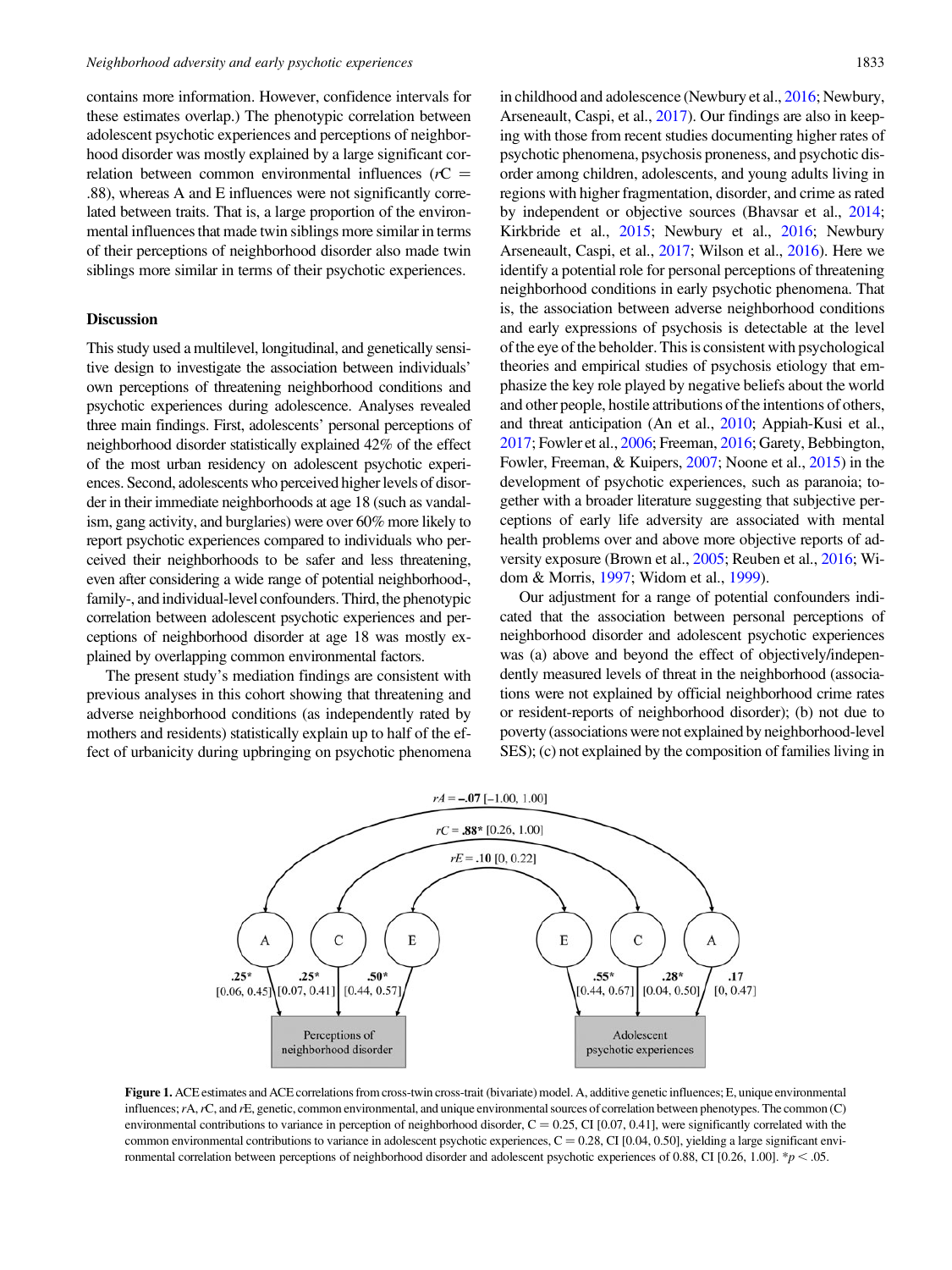<span id="page-10-0"></span>contains more information. However, confidence intervals for these estimates overlap.) The phenotypic correlation between adolescent psychotic experiences and perceptions of neighborhood disorder was mostly explained by a large significant correlation between common environmental influences ( $rC =$ .88), whereas A and E influences were not significantly correlated between traits. That is, a large proportion of the environmental influences that made twin siblings more similar in terms of their perceptions of neighborhood disorder also made twin siblings more similar in terms of their psychotic experiences.

#### **Discussion**

This study used a multilevel, longitudinal, and genetically sensitive design to investigate the association between individuals' own perceptions of threatening neighborhood conditions and psychotic experiences during adolescence. Analyses revealed three main findings. First, adolescents' personal perceptions of neighborhood disorder statistically explained 42% of the effect of the most urban residency on adolescent psychotic experiences. Second, adolescents who perceived higher levels of disorder in their immediate neighborhoods at age 18 (such as vandalism, gang activity, and burglaries) were over 60% more likely to report psychotic experiences compared to individuals who perceived their neighborhoods to be safer and less threatening, even after considering a wide range of potential neighborhood-, family-, and individual-level confounders. Third, the phenotypic correlation between adolescent psychotic experiences and perceptions of neighborhood disorder at age 18 was mostly explained by overlapping common environmental factors.

The present study's mediation findings are consistent with previous analyses in this cohort showing that threatening and adverse neighborhood conditions (as independently rated by mothers and residents) statistically explain up to half of the effect of urbanicity during upbringing on psychotic phenomena

in childhood and adolescence (Newbury et al., [2016](#page-13-0); Newbury, Arseneault, Caspi, et al., [2017\)](#page-13-0). Our findings are also in keeping with those from recent studies documenting higher rates of psychotic phenomena, psychosis proneness, and psychotic disorder among children, adolescents, and young adults living in regions with higher fragmentation, disorder, and crime as rated by independent or objective sources (Bhavsar et al., [2014](#page-13-0); Kirkbride et al., [2015](#page-13-0); Newbury et al., [2016](#page-13-0); Newbury Arseneault, Caspi, et al., [2017;](#page-13-0) Wilson et al., [2016](#page-14-0)). Here we identify a potential role for personal perceptions of threatening neighborhood conditions in early psychotic phenomena. That is, the association between adverse neighborhood conditions and early expressions of psychosis is detectable at the level of the eye of the beholder. This is consistent with psychological theories and empirical studies of psychosis etiology that emphasize the key role played by negative beliefs about the world and other people, hostile attributions of the intentions of others, and threat anticipation (An et al., [2010](#page-13-0); Appiah-Kusi et al., [2017;](#page-13-0) Fowler et al., [2006;](#page-13-0) Freeman, [2016](#page-13-0); Garety, Bebbington, Fowler, Freeman, & Kuipers, [2007;](#page-13-0) Noone et al., [2015\)](#page-14-0) in the development of psychotic experiences, such as paranoia; together with a broader literature suggesting that subjective perceptions of early life adversity are associated with mental health problems over and above more objective reports of adversity exposure (Brown et al., [2005](#page-13-0); Reuben et al., [2016](#page-14-0); Widom & Morris, [1997;](#page-14-0) Widom et al., [1999\)](#page-14-0).

Our adjustment for a range of potential confounders indicated that the association between personal perceptions of neighborhood disorder and adolescent psychotic experiences was (a) above and beyond the effect of objectively/independently measured levels of threat in the neighborhood (associations were not explained by official neighborhood crime rates or resident-reports of neighborhood disorder); (b) not due to poverty (associations were not explained by neighborhood-level SES); (c) not explained by the composition of families living in



Figure 1. ACE estimates and ACE correlations from cross-twin cross-trait (bivariate) model. A, additive genetic influences; E, unique environmental influences;  $rA$ ,  $rC$ , and  $rE$ , genetic, common environmental, and unique environmental sources of correlation between phenotypes. The common (C) environmental contributions to variance in perception of neighborhood disorder,  $C = 0.25$ , CI [0.07, 0.41], were significantly correlated with the common environmental contributions to variance in adolescent psychotic experiences,  $C = 0.28$ , CI [0.04, 0.50], yielding a large significant environmental correlation between perceptions of neighborhood disorder and adolescent psychotic experiences of 0.88, CI [0.26, 1.00]. \*p < .05.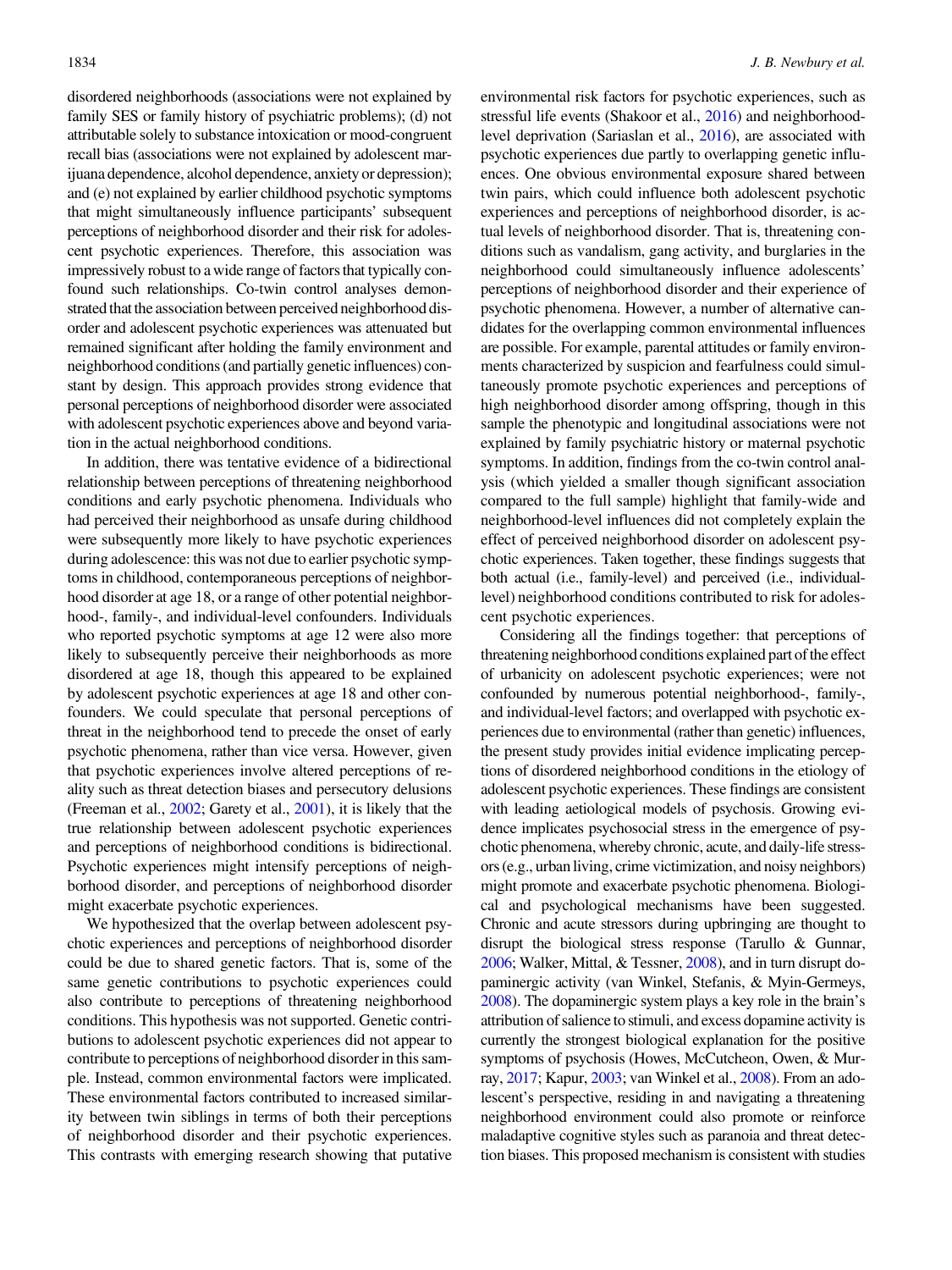disordered neighborhoods (associations were not explained by family SES or family history of psychiatric problems); (d) not attributable solely to substance intoxication or mood-congruent recall bias (associations were not explained by adolescent marijuana dependence, alcohol dependence, anxiety or depression); and (e) not explained by earlier childhood psychotic symptoms that might simultaneously influence participants' subsequent perceptions of neighborhood disorder and their risk for adolescent psychotic experiences. Therefore, this association was impressively robust to a wide range of factors that typically confound such relationships. Co-twin control analyses demonstrated that the association between perceived neighborhood disorder and adolescent psychotic experiences was attenuated but remained significant after holding the family environment and neighborhood conditions (and partially genetic influences) constant by design. This approach provides strong evidence that personal perceptions of neighborhood disorder were associated with adolescent psychotic experiences above and beyond variation in the actual neighborhood conditions.

In addition, there was tentative evidence of a bidirectional relationship between perceptions of threatening neighborhood conditions and early psychotic phenomena. Individuals who had perceived their neighborhood as unsafe during childhood were subsequently more likely to have psychotic experiences during adolescence: this was not due to earlier psychotic symptoms in childhood, contemporaneous perceptions of neighborhood disorder at age 18, or a range of other potential neighborhood-, family-, and individual-level confounders. Individuals who reported psychotic symptoms at age 12 were also more likely to subsequently perceive their neighborhoods as more disordered at age 18, though this appeared to be explained by adolescent psychotic experiences at age 18 and other confounders. We could speculate that personal perceptions of threat in the neighborhood tend to precede the onset of early psychotic phenomena, rather than vice versa. However, given that psychotic experiences involve altered perceptions of reality such as threat detection biases and persecutory delusions (Freeman et al., [2002](#page-13-0); Garety et al., [2001](#page-13-0)), it is likely that the true relationship between adolescent psychotic experiences and perceptions of neighborhood conditions is bidirectional. Psychotic experiences might intensify perceptions of neighborhood disorder, and perceptions of neighborhood disorder might exacerbate psychotic experiences.

We hypothesized that the overlap between adolescent psychotic experiences and perceptions of neighborhood disorder could be due to shared genetic factors. That is, some of the same genetic contributions to psychotic experiences could also contribute to perceptions of threatening neighborhood conditions. This hypothesis was not supported. Genetic contributions to adolescent psychotic experiences did not appear to contribute to perceptions of neighborhood disorder in this sample. Instead, common environmental factors were implicated. These environmental factors contributed to increased similarity between twin siblings in terms of both their perceptions of neighborhood disorder and their psychotic experiences. This contrasts with emerging research showing that putative

environmental risk factors for psychotic experiences, such as stressful life events (Shakoor et al., [2016](#page-14-0)) and neighborhoodlevel deprivation (Sariaslan et al., [2016\)](#page-14-0), are associated with psychotic experiences due partly to overlapping genetic influences. One obvious environmental exposure shared between twin pairs, which could influence both adolescent psychotic experiences and perceptions of neighborhood disorder, is actual levels of neighborhood disorder. That is, threatening conditions such as vandalism, gang activity, and burglaries in the neighborhood could simultaneously influence adolescents' perceptions of neighborhood disorder and their experience of psychotic phenomena. However, a number of alternative candidates for the overlapping common environmental influences are possible. For example, parental attitudes or family environments characterized by suspicion and fearfulness could simultaneously promote psychotic experiences and perceptions of high neighborhood disorder among offspring, though in this sample the phenotypic and longitudinal associations were not explained by family psychiatric history or maternal psychotic symptoms. In addition, findings from the co-twin control analysis (which yielded a smaller though significant association compared to the full sample) highlight that family-wide and neighborhood-level influences did not completely explain the effect of perceived neighborhood disorder on adolescent psychotic experiences. Taken together, these findings suggests that both actual (i.e., family-level) and perceived (i.e., individuallevel) neighborhood conditions contributed to risk for adolescent psychotic experiences.

Considering all the findings together: that perceptions of threatening neighborhood conditions explained part of the effect of urbanicity on adolescent psychotic experiences; were not confounded by numerous potential neighborhood-, family-, and individual-level factors; and overlapped with psychotic experiences due to environmental (rather than genetic) influences, the present study provides initial evidence implicating perceptions of disordered neighborhood conditions in the etiology of adolescent psychotic experiences. These findings are consistent with leading aetiological models of psychosis. Growing evidence implicates psychosocial stress in the emergence of psychotic phenomena, whereby chronic, acute, and daily-life stressors (e.g., urban living, crime victimization, and noisy neighbors) might promote and exacerbate psychotic phenomena. Biological and psychological mechanisms have been suggested. Chronic and acute stressors during upbringing are thought to disrupt the biological stress response (Tarullo & Gunnar, [2006](#page-14-0); Walker, Mittal, & Tessner, [2008](#page-14-0)), and in turn disrupt dopaminergic activity (van Winkel, Stefanis, & Myin-Germeys, [2008](#page-14-0)). The dopaminergic system plays a key role in the brain's attribution of salience to stimuli, and excess dopamine activity is currently the strongest biological explanation for the positive symptoms of psychosis (Howes, McCutcheon, Owen, & Murray, [2017;](#page-13-0) Kapur, [2003](#page-13-0); van Winkel et al., [2008](#page-14-0)). From an adolescent's perspective, residing in and navigating a threatening neighborhood environment could also promote or reinforce maladaptive cognitive styles such as paranoia and threat detection biases. This proposed mechanism is consistent with studies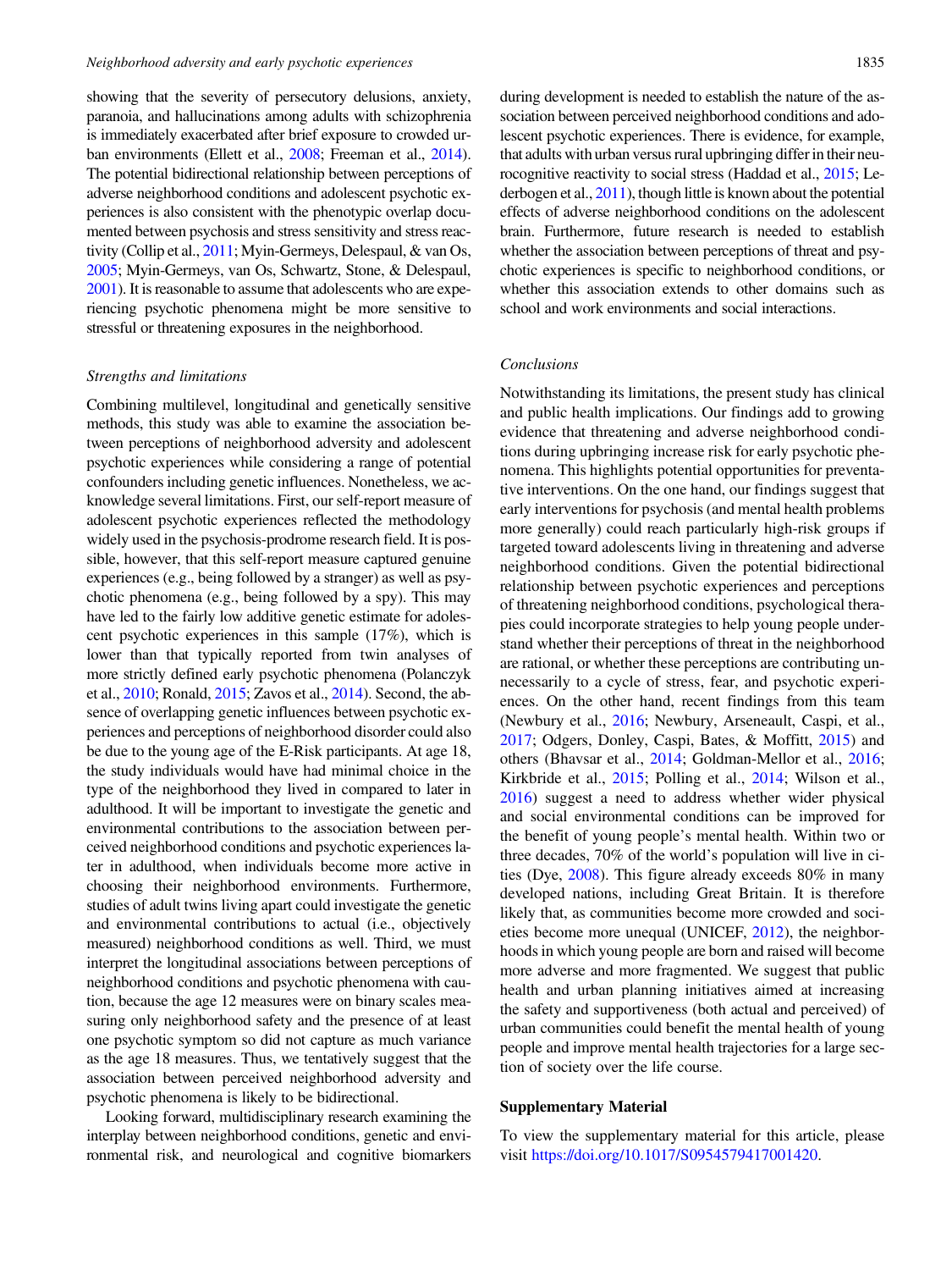showing that the severity of persecutory delusions, anxiety, paranoia, and hallucinations among adults with schizophrenia is immediately exacerbated after brief exposure to crowded urban environments (Ellett et al., [2008;](#page-13-0) Freeman et al., [2014](#page-13-0)). The potential bidirectional relationship between perceptions of adverse neighborhood conditions and adolescent psychotic experiences is also consistent with the phenotypic overlap documented between psychosis and stress sensitivity and stress reactivity (Collip et al., [2011;](#page-13-0) Myin-Germeys, Delespaul, & van Os, [2005](#page-13-0); Myin-Germeys, van Os, Schwartz, Stone, & Delespaul, [2001](#page-13-0)). It is reasonable to assume that adolescents who are experiencing psychotic phenomena might be more sensitive to stressful or threatening exposures in the neighborhood.

## Strengths and limitations

Combining multilevel, longitudinal and genetically sensitive methods, this study was able to examine the association between perceptions of neighborhood adversity and adolescent psychotic experiences while considering a range of potential confounders including genetic influences. Nonetheless, we acknowledge several limitations. First, our self-report measure of adolescent psychotic experiences reflected the methodology widely used in the psychosis-prodrome research field. It is possible, however, that this self-report measure captured genuine experiences (e.g., being followed by a stranger) as well as psychotic phenomena (e.g., being followed by a spy). This may have led to the fairly low additive genetic estimate for adolescent psychotic experiences in this sample (17%), which is lower than that typically reported from twin analyses of more strictly defined early psychotic phenomena (Polanczyk et al., [2010;](#page-14-0) Ronald, [2015;](#page-14-0) Zavos et al., [2014\)](#page-14-0). Second, the absence of overlapping genetic influences between psychotic experiences and perceptions of neighborhood disorder could also be due to the young age of the E-Risk participants. At age 18, the study individuals would have had minimal choice in the type of the neighborhood they lived in compared to later in adulthood. It will be important to investigate the genetic and environmental contributions to the association between perceived neighborhood conditions and psychotic experiences later in adulthood, when individuals become more active in choosing their neighborhood environments. Furthermore, studies of adult twins living apart could investigate the genetic and environmental contributions to actual (i.e., objectively measured) neighborhood conditions as well. Third, we must interpret the longitudinal associations between perceptions of neighborhood conditions and psychotic phenomena with caution, because the age 12 measures were on binary scales measuring only neighborhood safety and the presence of at least one psychotic symptom so did not capture as much variance as the age 18 measures. Thus, we tentatively suggest that the association between perceived neighborhood adversity and psychotic phenomena is likely to be bidirectional.

Looking forward, multidisciplinary research examining the interplay between neighborhood conditions, genetic and environmental risk, and neurological and cognitive biomarkers

during development is needed to establish the nature of the association between perceived neighborhood conditions and adolescent psychotic experiences. There is evidence, for example, that adults with urban versus rural upbringing differ in their neurocognitive reactivity to social stress (Haddad et al., [2015](#page-13-0); Lederbogen et al., [2011](#page-13-0)), though little is known about the potential effects of adverse neighborhood conditions on the adolescent brain. Furthermore, future research is needed to establish whether the association between perceptions of threat and psychotic experiences is specific to neighborhood conditions, or whether this association extends to other domains such as school and work environments and social interactions.

## Conclusions

Notwithstanding its limitations, the present study has clinical and public health implications. Our findings add to growing evidence that threatening and adverse neighborhood conditions during upbringing increase risk for early psychotic phenomena. This highlights potential opportunities for preventative interventions. On the one hand, our findings suggest that early interventions for psychosis (and mental health problems more generally) could reach particularly high-risk groups if targeted toward adolescents living in threatening and adverse neighborhood conditions. Given the potential bidirectional relationship between psychotic experiences and perceptions of threatening neighborhood conditions, psychological therapies could incorporate strategies to help young people understand whether their perceptions of threat in the neighborhood are rational, or whether these perceptions are contributing unnecessarily to a cycle of stress, fear, and psychotic experiences. On the other hand, recent findings from this team (Newbury et al., [2016](#page-13-0); Newbury, Arseneault, Caspi, et al., [2017;](#page-13-0) Odgers, Donley, Caspi, Bates, & Moffitt, [2015\)](#page-14-0) and others (Bhavsar et al., [2014;](#page-13-0) Goldman-Mellor et al., [2016](#page-13-0); Kirkbride et al., [2015](#page-13-0); Polling et al., [2014](#page-14-0); Wilson et al., [2016\)](#page-14-0) suggest a need to address whether wider physical and social environmental conditions can be improved for the benefit of young people's mental health. Within two or three decades, 70% of the world's population will live in cities (Dye, [2008](#page-13-0)). This figure already exceeds 80% in many developed nations, including Great Britain. It is therefore likely that, as communities become more crowded and societies become more unequal (UNICEF, [2012](#page-14-0)), the neighborhoods in which young people are born and raised will become more adverse and more fragmented. We suggest that public health and urban planning initiatives aimed at increasing the safety and supportiveness (both actual and perceived) of urban communities could benefit the mental health of young people and improve mental health trajectories for a large section of society over the life course.

#### Supplementary Material

To view the supplementary material for this article, please visit <https://doi.org/10.1017/S0954579417001420>.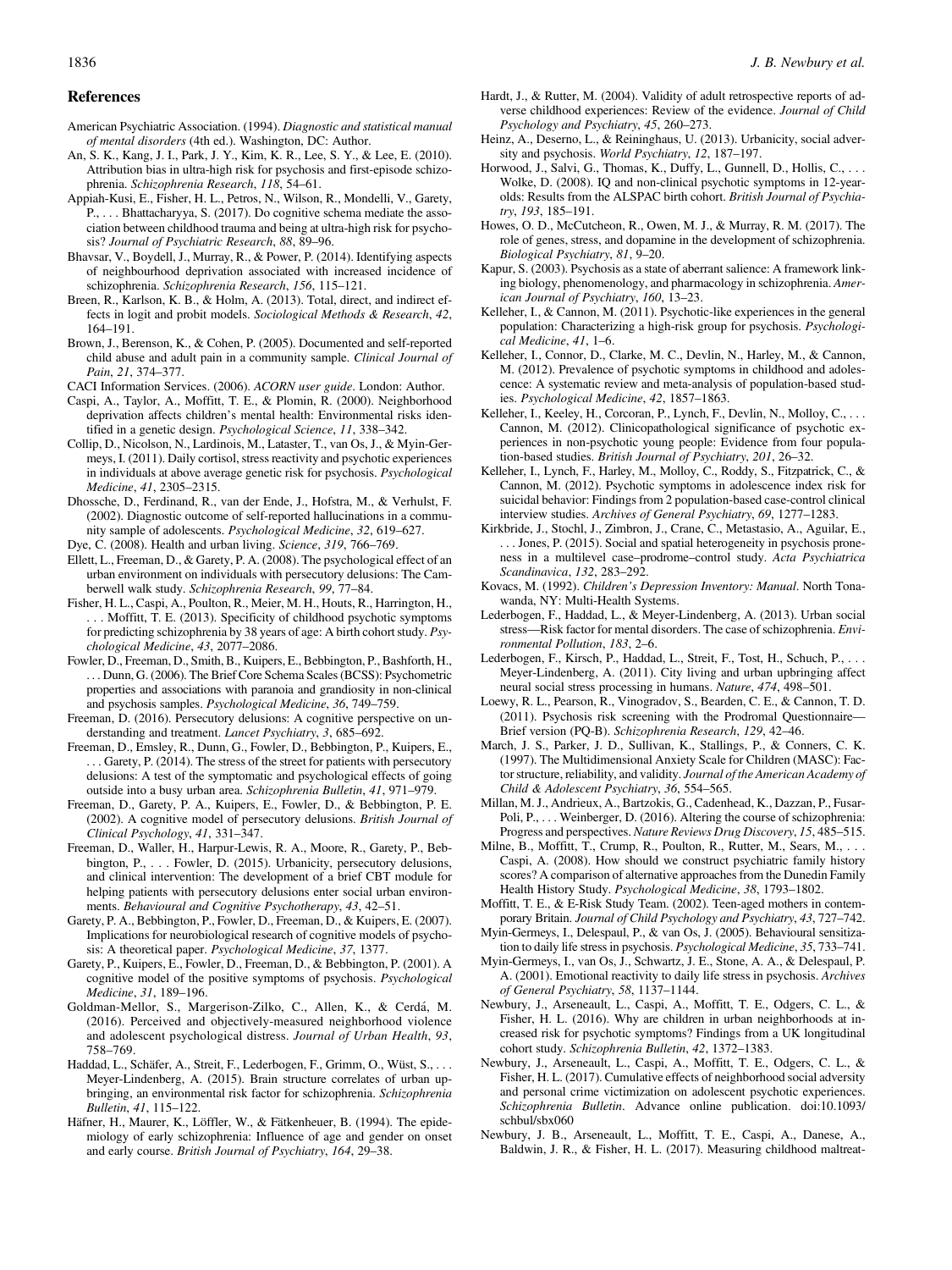#### <span id="page-13-0"></span>References

- American Psychiatric Association. (1994). Diagnostic and statistical manual of mental disorders (4th ed.). Washington, DC: Author.
- An, S. K., Kang, J. I., Park, J. Y., Kim, K. R., Lee, S. Y., & Lee, E. (2010). Attribution bias in ultra-high risk for psychosis and first-episode schizophrenia. Schizophrenia Research, 118, 54–61.
- Appiah-Kusi, E., Fisher, H. L., Petros, N., Wilson, R., Mondelli, V., Garety, P., . . . Bhattacharyya, S. (2017). Do cognitive schema mediate the association between childhood trauma and being at ultra-high risk for psychosis? Journal of Psychiatric Research, 88, 89–96.
- Bhavsar, V., Boydell, J., Murray, R., & Power, P. (2014). Identifying aspects of neighbourhood deprivation associated with increased incidence of schizophrenia. Schizophrenia Research, 156, 115–121.
- Breen, R., Karlson, K. B., & Holm, A. (2013). Total, direct, and indirect effects in logit and probit models. Sociological Methods & Research, 42, 164–191.
- Brown, J., Berenson, K., & Cohen, P. (2005). Documented and self-reported child abuse and adult pain in a community sample. Clinical Journal of Pain, 21, 374–377.
- CACI Information Services. (2006). ACORN user guide. London: Author.
- Caspi, A., Taylor, A., Moffitt, T. E., & Plomin, R. (2000). Neighborhood deprivation affects children's mental health: Environmental risks identified in a genetic design. Psychological Science, 11, 338–342.
- Collip, D., Nicolson, N., Lardinois, M., Lataster, T., van Os, J., & Myin-Germeys, I. (2011). Daily cortisol, stress reactivity and psychotic experiences in individuals at above average genetic risk for psychosis. Psychological Medicine, 41, 2305–2315.
- Dhossche, D., Ferdinand, R., van der Ende, J., Hofstra, M., & Verhulst, F. (2002). Diagnostic outcome of self-reported hallucinations in a community sample of adolescents. Psychological Medicine, 32, 619–627.
- Dye, C. (2008). Health and urban living. Science, 319, 766–769.
- Ellett, L., Freeman, D., & Garety, P. A. (2008). The psychological effect of an urban environment on individuals with persecutory delusions: The Camberwell walk study. Schizophrenia Research, 99, 77–84.
- Fisher, H. L., Caspi, A., Poulton, R., Meier, M. H., Houts, R., Harrington, H., . . . Moffitt, T. E. (2013). Specificity of childhood psychotic symptoms for predicting schizophrenia by 38 years of age: A birth cohort study. Psychological Medicine, 43, 2077–2086.
- Fowler, D., Freeman, D., Smith, B., Kuipers, E., Bebbington, P., Bashforth, H., . . . Dunn, G. (2006). The Brief Core Schema Scales (BCSS): Psychometric properties and associations with paranoia and grandiosity in non-clinical and psychosis samples. Psychological Medicine, 36, 749–759.
- Freeman, D. (2016). Persecutory delusions: A cognitive perspective on understanding and treatment. Lancet Psychiatry, 3, 685–692.
- Freeman, D., Emsley, R., Dunn, G., Fowler, D., Bebbington, P., Kuipers, E., . . . Garety, P. (2014). The stress of the street for patients with persecutory delusions: A test of the symptomatic and psychological effects of going outside into a busy urban area. Schizophrenia Bulletin, 41, 971–979.
- Freeman, D., Garety, P. A., Kuipers, E., Fowler, D., & Bebbington, P. E. (2002). A cognitive model of persecutory delusions. British Journal of Clinical Psychology, 41, 331–347.
- Freeman, D., Waller, H., Harpur-Lewis, R. A., Moore, R., Garety, P., Bebbington, P., . . . Fowler, D. (2015). Urbanicity, persecutory delusions, and clinical intervention: The development of a brief CBT module for helping patients with persecutory delusions enter social urban environments. Behavioural and Cognitive Psychotherapy, 43, 42–51.
- Garety, P. A., Bebbington, P., Fowler, D., Freeman, D., & Kuipers, E. (2007). Implications for neurobiological research of cognitive models of psychosis: A theoretical paper. Psychological Medicine, 37, 1377.
- Garety, P., Kuipers, E., Fowler, D., Freeman, D., & Bebbington, P. (2001). A cognitive model of the positive symptoms of psychosis. Psychological Medicine, 31, 189–196.
- Goldman-Mellor, S., Margerison-Zilko, C., Allen, K., & Cerdá, M. (2016). Perceived and objectively-measured neighborhood violence and adolescent psychological distress. Journal of Urban Health, 93, 758–769.
- Haddad, L., Schäfer, A., Streit, F., Lederbogen, F., Grimm, O., Wüst, S., . . . Meyer-Lindenberg, A. (2015). Brain structure correlates of urban upbringing, an environmental risk factor for schizophrenia. Schizophrenia Bulletin, 41, 115–122.
- Häfner, H., Maurer, K., Löffler, W., & Fätkenheuer, B. (1994). The epidemiology of early schizophrenia: Influence of age and gender on onset and early course. British Journal of Psychiatry, 164, 29–38.
- Hardt, J., & Rutter, M. (2004). Validity of adult retrospective reports of adverse childhood experiences: Review of the evidence. Journal of Child Psychology and Psychiatry, 45, 260–273.
- Heinz, A., Deserno, L., & Reininghaus, U. (2013). Urbanicity, social adversity and psychosis. World Psychiatry, 12, 187–197.
- Horwood, J., Salvi, G., Thomas, K., Duffy, L., Gunnell, D., Hollis, C., . . . Wolke, D. (2008). IQ and non-clinical psychotic symptoms in 12-yearolds: Results from the ALSPAC birth cohort. British Journal of Psychiatry, 193, 185–191.
- Howes, O. D., McCutcheon, R., Owen, M. J., & Murray, R. M. (2017). The role of genes, stress, and dopamine in the development of schizophrenia. Biological Psychiatry, 81, 9–20.
- Kapur, S. (2003). Psychosis as a state of aberrant salience: A framework linking biology, phenomenology, and pharmacology in schizophrenia. American Journal of Psychiatry, 160, 13–23.
- Kelleher, I., & Cannon, M. (2011). Psychotic-like experiences in the general population: Characterizing a high-risk group for psychosis. Psychological Medicine, 41, 1–6.
- Kelleher, I., Connor, D., Clarke, M. C., Devlin, N., Harley, M., & Cannon, M. (2012). Prevalence of psychotic symptoms in childhood and adolescence: A systematic review and meta-analysis of population-based studies. Psychological Medicine, 42, 1857–1863.
- Kelleher, I., Keeley, H., Corcoran, P., Lynch, F., Devlin, N., Molloy, C., ... Cannon, M. (2012). Clinicopathological significance of psychotic experiences in non-psychotic young people: Evidence from four population-based studies. British Journal of Psychiatry, 201, 26–32.
- Kelleher, I., Lynch, F., Harley, M., Molloy, C., Roddy, S., Fitzpatrick, C., & Cannon, M. (2012). Psychotic symptoms in adolescence index risk for suicidal behavior: Findings from 2 population-based case-control clinical interview studies. Archives of General Psychiatry, 69, 1277–1283.
- Kirkbride, J., Stochl, J., Zimbron, J., Crane, C., Metastasio, A., Aguilar, E., . . . Jones, P. (2015). Social and spatial heterogeneity in psychosis proneness in a multilevel case–prodrome–control study. Acta Psychiatrica Scandinavica, 132, 283–292.
- Kovacs, M. (1992). Children's Depression Inventory: Manual. North Tonawanda, NY: Multi-Health Systems.
- Lederbogen, F., Haddad, L., & Meyer-Lindenberg, A. (2013). Urban social stress—Risk factor for mental disorders. The case of schizophrenia. Environmental Pollution, 183, 2–6.
- Lederbogen, F., Kirsch, P., Haddad, L., Streit, F., Tost, H., Schuch, P., Meyer-Lindenberg, A. (2011). City living and urban upbringing affect neural social stress processing in humans. Nature, 474, 498–501.
- Loewy, R. L., Pearson, R., Vinogradov, S., Bearden, C. E., & Cannon, T. D. (2011). Psychosis risk screening with the Prodromal Questionnaire— Brief version (PQ-B). Schizophrenia Research, 129, 42–46.
- March, J. S., Parker, J. D., Sullivan, K., Stallings, P., & Conners, C. K. (1997). The Multidimensional Anxiety Scale for Children (MASC): Factor structure, reliability, and validity. Journal of the American Academy of Child & Adolescent Psychiatry, 36, 554–565.
- Millan, M. J., Andrieux, A., Bartzokis, G., Cadenhead, K., Dazzan, P., Fusar-Poli, P., . . . Weinberger, D. (2016). Altering the course of schizophrenia: Progress and perspectives. Nature Reviews Drug Discovery, 15, 485–515.
- Milne, B., Moffitt, T., Crump, R., Poulton, R., Rutter, M., Sears, M., ... Caspi, A. (2008). How should we construct psychiatric family history scores? A comparison of alternative approaches from the Dunedin Family Health History Study. Psychological Medicine, 38, 1793–1802.
- Moffitt, T. E., & E-Risk Study Team. (2002). Teen-aged mothers in contemporary Britain. Journal of Child Psychology and Psychiatry, 43, 727–742.
- Myin-Germeys, I., Delespaul, P., & van Os, J. (2005). Behavioural sensitization to daily life stress in psychosis. Psychological Medicine, 35, 733–741.
- Myin-Germeys, I., van Os, J., Schwartz, J. E., Stone, A. A., & Delespaul, P. A. (2001). Emotional reactivity to daily life stress in psychosis. Archives of General Psychiatry, 58, 1137–1144.
- Newbury, J., Arseneault, L., Caspi, A., Moffitt, T. E., Odgers, C. L., & Fisher, H. L. (2016). Why are children in urban neighborhoods at increased risk for psychotic symptoms? Findings from a UK longitudinal cohort study. Schizophrenia Bulletin, 42, 1372–1383.
- Newbury, J., Arseneault, L., Caspi, A., Moffitt, T. E., Odgers, C. L., & Fisher, H. L. (2017). Cumulative effects of neighborhood social adversity and personal crime victimization on adolescent psychotic experiences. Schizophrenia Bulletin. Advance online publication. doi:10.1093/ schbul/sbx060
- Newbury, J. B., Arseneault, L., Moffitt, T. E., Caspi, A., Danese, A., Baldwin, J. R., & Fisher, H. L. (2017). Measuring childhood maltreat-